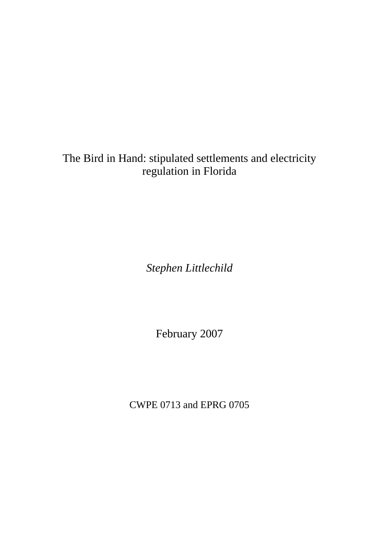# The Bird in Hand: stipulated settlements and electricity regulation in Florida

*Stephen Littlechild* 

February 2007

CWPE 0713 and EPRG 0705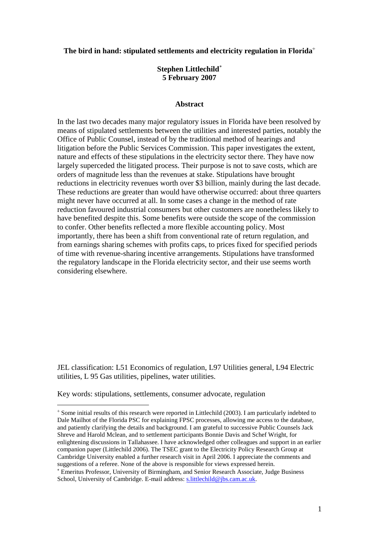**The bird in hand: stipulated settlements and electricity regulation in Florida**

## **Stephen Littlechild 5 February 2007**

#### **Abstract**

In the last two decades many major regulatory issues in Florida have been resolved by means of stipulated settlements between the utilities and interested parties, notably the Office of Public Counsel, instead of by the traditional method of hearings and litigation before the Public Services Commission. This paper investigates the extent, nature and effects of these stipulations in the electricity sector there. They have now largely superceded the litigated process. Their purpose is not to save costs, which are orders of magnitude less than the revenues at stake. Stipulations have brought reductions in electricity revenues worth over \$3 billion, mainly during the last decade. These reductions are greater than would have otherwise occurred: about three quarters might never have occurred at all. In some cases a change in the method of rate reduction favoured industrial consumers but other customers are nonetheless likely to have benefited despite this. Some benefits were outside the scope of the commission to confer. Other benefits reflected a more flexible accounting policy. Most importantly, there has been a shift from conventional rate of return regulation, and from earnings sharing schemes with profits caps, to prices fixed for specified periods of time with revenue-sharing incentive arrangements. Stipulations have transformed the regulatory landscape in the Florida electricity sector, and their use seems worth considering elsewhere.

JEL classification: L51 Economics of regulation, L97 Utilities general, L94 Electric utilities, L 95 Gas utilities, pipelines, water utilities.

Key words: stipulations, settlements, consumer advocate, regulation

Some initial results of this research were reported in Littlechild (2003). I am particularly indebted to Dale Mailhot of the Florida PSC for explaining FPSC processes, allowing me access to the database, and patiently clarifying the details and background. I am grateful to successive Public Counsels Jack Shreve and Harold Mclean, and to settlement participants Bonnie Davis and Schef Wright, for enlightening discussions in Tallahassee. I have acknowledged other colleagues and support in an earlier companion paper (Littlechild 2006). The TSEC grant to the Electricity Policy Research Group at Cambridge University enabled a further research visit in April 2006. I appreciate the comments and suggestions of a referee. None of the above is responsible for views expressed herein.

Emeritus Professor, University of Birmingham, and Senior Research Associate, Judge Business School, University of Cambridge. E-mail address[: s.littlechild@jbs.cam.ac.uk.](mailto:s.littlechild@jbs.cam.ac.uk)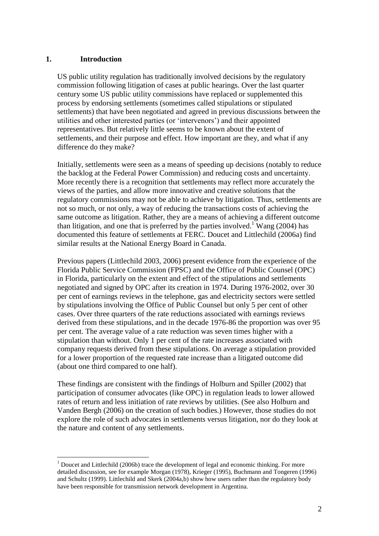#### **1. Introduction**

1

US public utility regulation has traditionally involved decisions by the regulatory commission following litigation of cases at public hearings. Over the last quarter century some US public utility commissions have replaced or supplemented this process by endorsing settlements (sometimes called stipulations or stipulated settlements) that have been negotiated and agreed in previous discussions between the utilities and other interested parties (or "intervenors") and their appointed representatives. But relatively little seems to be known about the extent of settlements, and their purpose and effect. How important are they, and what if any difference do they make?

Initially, settlements were seen as a means of speeding up decisions (notably to reduce the backlog at the Federal Power Commission) and reducing costs and uncertainty. More recently there is a recognition that settlements may reflect more accurately the views of the parties, and allow more innovative and creative solutions that the regulatory commissions may not be able to achieve by litigation. Thus, settlements are not so much, or not only, a way of reducing the transactions costs of achieving the same outcome as litigation. Rather, they are a means of achieving a different outcome than litigation, and one that is preferred by the parties involved.<sup>1</sup> Wang (2004) has documented this feature of settlements at FERC. Doucet and Littlechild (2006a) find similar results at the National Energy Board in Canada.

Previous papers (Littlechild 2003, 2006) present evidence from the experience of the Florida Public Service Commission (FPSC) and the Office of Public Counsel (OPC) in Florida, particularly on the extent and effect of the stipulations and settlements negotiated and signed by OPC after its creation in 1974. During 1976-2002, over 30 per cent of earnings reviews in the telephone, gas and electricity sectors were settled by stipulations involving the Office of Public Counsel but only 5 per cent of other cases. Over three quarters of the rate reductions associated with earnings reviews derived from these stipulations, and in the decade 1976-86 the proportion was over 95 per cent. The average value of a rate reduction was seven times higher with a stipulation than without. Only 1 per cent of the rate increases associated with company requests derived from these stipulations. On average a stipulation provided for a lower proportion of the requested rate increase than a litigated outcome did (about one third compared to one half).

These findings are consistent with the findings of Holburn and Spiller (2002) that participation of consumer advocates (like OPC) in regulation leads to lower allowed rates of return and less initiation of rate reviews by utilities. (See also Holburn and Vanden Bergh (2006) on the creation of such bodies.) However, those studies do not explore the role of such advocates in settlements versus litigation, nor do they look at the nature and content of any settlements.

<sup>&</sup>lt;sup>1</sup> Doucet and Littlechild (2006b) trace the development of legal and economic thinking. For more detailed discussion, see for example Morgan (1978), Krieger (1995), Buchmann and Tongeren (1996) and Schultz (1999). Littlechild and Skerk (2004a,b) show how users rather than the regulatory body have been responsible for transmission network development in Argentina.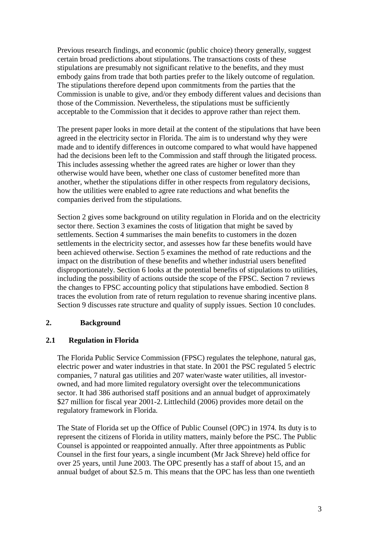Previous research findings, and economic (public choice) theory generally, suggest certain broad predictions about stipulations. The transactions costs of these stipulations are presumably not significant relative to the benefits, and they must embody gains from trade that both parties prefer to the likely outcome of regulation. The stipulations therefore depend upon commitments from the parties that the Commission is unable to give, and/or they embody different values and decisions than those of the Commission. Nevertheless, the stipulations must be sufficiently acceptable to the Commission that it decides to approve rather than reject them.

The present paper looks in more detail at the content of the stipulations that have been agreed in the electricity sector in Florida. The aim is to understand why they were made and to identify differences in outcome compared to what would have happened had the decisions been left to the Commission and staff through the litigated process. This includes assessing whether the agreed rates are higher or lower than they otherwise would have been, whether one class of customer benefited more than another, whether the stipulations differ in other respects from regulatory decisions, how the utilities were enabled to agree rate reductions and what benefits the companies derived from the stipulations.

Section 2 gives some background on utility regulation in Florida and on the electricity sector there. Section 3 examines the costs of litigation that might be saved by settlements. Section 4 summarises the main benefits to customers in the dozen settlements in the electricity sector, and assesses how far these benefits would have been achieved otherwise. Section 5 examines the method of rate reductions and the impact on the distribution of these benefits and whether industrial users benefited disproportionately. Section 6 looks at the potential benefits of stipulations to utilities, including the possibility of actions outside the scope of the FPSC. Section 7 reviews the changes to FPSC accounting policy that stipulations have embodied. Section 8 traces the evolution from rate of return regulation to revenue sharing incentive plans. Section 9 discusses rate structure and quality of supply issues. Section 10 concludes.

## **2. Background**

## **2.1 Regulation in Florida**

The Florida Public Service Commission (FPSC) regulates the telephone, natural gas, electric power and water industries in that state. In 2001 the PSC regulated 5 electric companies, 7 natural gas utilities and 207 water/waste water utilities, all investorowned, and had more limited regulatory oversight over the telecommunications sector. It had 386 authorised staff positions and an annual budget of approximately \$27 million for fiscal year 2001-2. Littlechild (2006) provides more detail on the regulatory framework in Florida.

The State of Florida set up the Office of Public Counsel (OPC) in 1974. Its duty is to represent the citizens of Florida in utility matters, mainly before the PSC. The Public Counsel is appointed or reappointed annually. After three appointments as Public Counsel in the first four years, a single incumbent (Mr Jack Shreve) held office for over 25 years, until June 2003. The OPC presently has a staff of about 15, and an annual budget of about \$2.5 m. This means that the OPC has less than one twentieth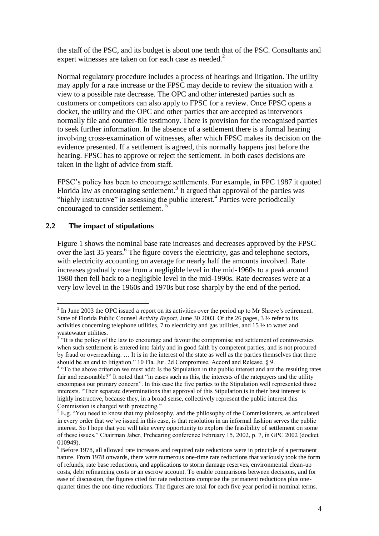the staff of the PSC, and its budget is about one tenth that of the PSC. Consultants and expert witnesses are taken on for each case as needed.<sup>2</sup>

Normal regulatory procedure includes a process of hearings and litigation. The utility may apply for a rate increase or the FPSC may decide to review the situation with a view to a possible rate decrease. The OPC and other interested parties such as customers or competitors can also apply to FPSC for a review. Once FPSC opens a docket, the utility and the OPC and other parties that are accepted as intervenors normally file and counter-file testimony. There is provision for the recognised parties to seek further information. In the absence of a settlement there is a formal hearing involving cross-examination of witnesses, after which FPSC makes its decision on the evidence presented. If a settlement is agreed, this normally happens just before the hearing. FPSC has to approve or reject the settlement. In both cases decisions are taken in the light of advice from staff.

FPSC"s policy has been to encourage settlements. For example, in FPC 1987 it quoted Florida law as encouraging settlement.<sup>3</sup> It argued that approval of the parties was "highly instructive" in assessing the public interest.<sup>4</sup> Parties were periodically encouraged to consider settlement. <sup>5</sup>

## **2.2 The impact of stipulations**

Figure 1 shows the nominal base rate increases and decreases approved by the FPSC over the last 35 years.<sup>6</sup> The figure covers the electricity, gas and telephone sectors, with electricity accounting on average for nearly half the amounts involved. Rate increases gradually rose from a negligible level in the mid-1960s to a peak around 1980 then fell back to a negligible level in the mid-1990s. Rate decreases were at a very low level in the 1960s and 1970s but rose sharply by the end of the period.

<sup>&</sup>lt;sup>2</sup> In June 2003 the OPC issued a report on its activities over the period up to Mr Shreve's retirement. State of Florida Public Counsel *Activity Report*, June 30 2003. Of the 26 pages, 3 ½ refer to its activities concerning telephone utilities, 7 to electricity and gas utilities, and 15 ½ to water and

wastewater utilities.<br><sup>3</sup> "It is the policy of the law to encourage and favour the compromise and settlement of controversies when such settlement is entered into fairly and in good faith by competent parties, and is not procured by fraud or overreaching. … It is in the interest of the state as well as the parties themselves that there should be an end to litigation." 10 Fla. Jur. 2d Compromise, Accord and Release, § 9.<br><sup>4</sup> "To the above criterion we must add: Is the Stipulation in the public interest and are the resulting rates

fair and reasonable?" It noted that "in cases such as this, the interests of the ratepayers and the utility encompass our primary concern". In this case the five parties to the Stipulation well represented those interests. "Their separate determinations that approval of this Stipulation is in their best interest is highly instructive, because they, in a broad sense, collectively represent the public interest this Commission is charged with protecting."

 $<sup>5</sup>$  E.g. "You need to know that my philosophy, and the philosophy of the Commissioners, as articulated</sup> in every order that we"ve issued in this case, is that resolution in an informal fashion serves the public interest. So I hope that you will take every opportunity to explore the feasibility of settlement on some of these issues." Chairman Jaber, Prehearing conference February 15, 2002, p. 7, in GPC 2002 (docket 010949).

<sup>6</sup> Before 1978, all allowed rate increases and required rate reductions were in principle of a permanent nature. From 1978 onwards, there were numerous one-time rate reductions that variously took the form of refunds, rate base reductions, and applications to storm damage reserves, environmental clean-up costs, debt refinancing costs or an escrow account. To enable comparisons between decisions, and for ease of discussion, the figures cited for rate reductions comprise the permanent reductions plus onequarter times the one-time reductions. The figures are total for each five year period in nominal terms.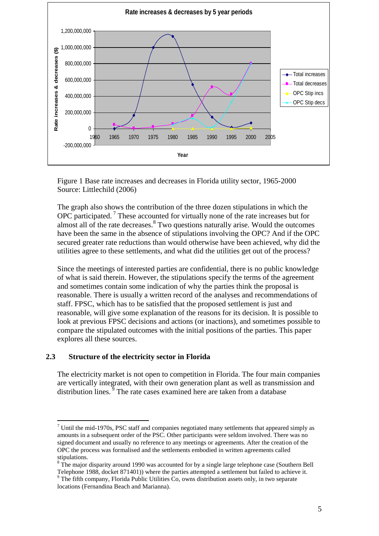

Figure 1 Base rate increases and decreases in Florida utility sector, 1965-2000 Source: Littlechild (2006)

The graph also shows the contribution of the three dozen stipulations in which the OPC participated.<sup>7</sup> These accounted for virtually none of the rate increases but for almost all of the rate decreases.<sup>8</sup> Two questions naturally arise. Would the outcomes have been the same in the absence of stipulations involving the OPC? And if the OPC secured greater rate reductions than would otherwise have been achieved, why did the utilities agree to these settlements, and what did the utilities get out of the process?

Since the meetings of interested parties are confidential, there is no public knowledge of what is said therein. However, the stipulations specify the terms of the agreement and sometimes contain some indication of why the parties think the proposal is reasonable. There is usually a written record of the analyses and recommendations of staff. FPSC, which has to be satisfied that the proposed settlement is just and reasonable, will give some explanation of the reasons for its decision. It is possible to look at previous FPSC decisions and actions (or inactions), and sometimes possible to compare the stipulated outcomes with the initial positions of the parties. This paper explores all these sources.

## **2.3 Structure of the electricity sector in Florida**

<u>.</u>

The electricity market is not open to competition in Florida. The four main companies are vertically integrated, with their own generation plant as well as transmission and distribution lines.  $\overline{9}$  The rate cases examined here are taken from a database

<sup>9</sup> The fifth company, Florida Public Utilities  $\tilde{C}$ o, owns distribution assets only, in two separate locations (Fernandina Beach and Marianna).

 $<sup>7</sup>$  Until the mid-1970s, PSC staff and companies negotiated many settlements that appeared simply as</sup> amounts in a subsequent order of the PSC. Other participants were seldom involved. There was no signed document and usually no reference to any meetings or agreements. After the creation of the OPC the process was formalised and the settlements embodied in written agreements called stipulations.

<sup>&</sup>lt;sup>8</sup> The major disparity around 1990 was accounted for by a single large telephone case (Southern Bell Telephone 1988, docket 871401)) where the parties attempted a settlement but failed to achieve it.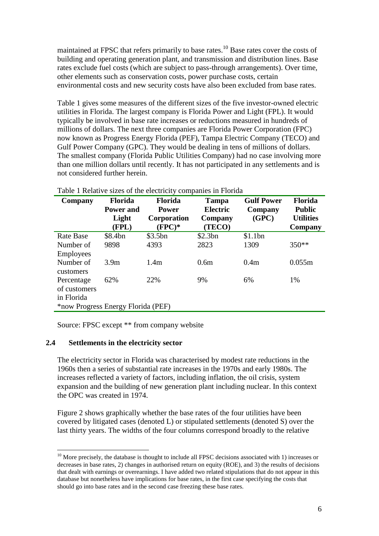maintained at FPSC that refers primarily to base rates.<sup>10</sup> Base rates cover the costs of building and operating generation plant, and transmission and distribution lines. Base rates exclude fuel costs (which are subject to pass-through arrangements). Over time, other elements such as conservation costs, power purchase costs, certain environmental costs and new security costs have also been excluded from base rates.

Table 1 gives some measures of the different sizes of the five investor-owned electric utilities in Florida. The largest company is Florida Power and Light (FPL). It would typically be involved in base rate increases or reductions measured in hundreds of millions of dollars. The next three companies are Florida Power Corporation (FPC) now known as Progress Energy Florida (PEF), Tampa Electric Company (TECO) and Gulf Power Company (GPC). They would be dealing in tens of millions of dollars. The smallest company (Florida Public Utilities Company) had no case involving more than one million dollars until recently. It has not participated in any settlements and is not considered further herein.

| Company                            | <b>Florida</b><br><b>Power and</b> | <b>Florida</b><br><b>Power</b> | <b>Tampa</b><br>Electric | <b>Gulf Power</b><br>Company | Florida<br><b>Public</b>    |
|------------------------------------|------------------------------------|--------------------------------|--------------------------|------------------------------|-----------------------------|
|                                    | Light<br>(FPL)                     | Corporation<br>$(FPC)*$        | Company<br>(TECO)        | (GPC)                        | <b>Utilities</b><br>Company |
| <b>Rate Base</b>                   | \$8.4bn                            | \$3.5bn                        | \$2.3bn                  | \$1.1bn                      |                             |
| Number of                          | 9898                               | 4393                           | 2823                     | 1309                         | 350**                       |
| <b>Employees</b>                   |                                    |                                |                          |                              |                             |
| Number of                          | 3.9 <sub>m</sub>                   | 1.4m                           | 0.6 <sub>m</sub>         | 0.4m                         | 0.055m                      |
| customers                          |                                    |                                |                          |                              |                             |
| Percentage                         | 62%                                | 22%                            | 9%                       | 6%                           | 1%                          |
| of customers                       |                                    |                                |                          |                              |                             |
| in Florida                         |                                    |                                |                          |                              |                             |
| *now Progress Energy Florida (PEF) |                                    |                                |                          |                              |                             |

Table 1 Relative sizes of the electricity companies in Florida

Source: FPSC except \*\* from company website

## **2.4 Settlements in the electricity sector**

<u>.</u>

The electricity sector in Florida was characterised by modest rate reductions in the 1960s then a series of substantial rate increases in the 1970s and early 1980s. The increases reflected a variety of factors, including inflation, the oil crisis, system expansion and the building of new generation plant including nuclear. In this context the OPC was created in 1974.

Figure 2 shows graphically whether the base rates of the four utilities have been covered by litigated cases (denoted L) or stipulated settlements (denoted S) over the last thirty years. The widths of the four columns correspond broadly to the relative

 $10$  More precisely, the database is thought to include all FPSC decisions associated with 1) increases or decreases in base rates, 2) changes in authorised return on equity (ROE), and 3) the results of decisions that dealt with earnings or overearnings. I have added two related stipulations that do not appear in this database but nonetheless have implications for base rates, in the first case specifying the costs that should go into base rates and in the second case freezing these base rates.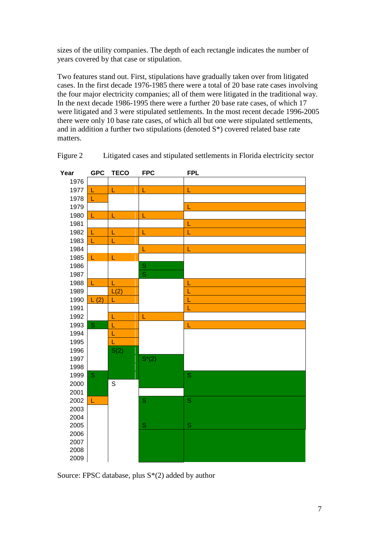sizes of the utility companies. The depth of each rectangle indicates the number of years covered by that case or stipulation.

Two features stand out. First, stipulations have gradually taken over from litigated cases. In the first decade 1976-1985 there were a total of 20 base rate cases involving the four major electricity companies; all of them were litigated in the traditional way. In the next decade 1986-1995 there were a further 20 base rate cases, of which 17 were litigated and 3 were stipulated settlements. In the most recent decade 1996-2005 there were only 10 base rate cases, of which all but one were stipulated settlements, and in addition a further two stipulations (denoted S\*) covered related base rate matters.



Figure 2 Litigated cases and stipulated settlements in Florida electricity sector

Source: FPSC database, plus S\*(2) added by author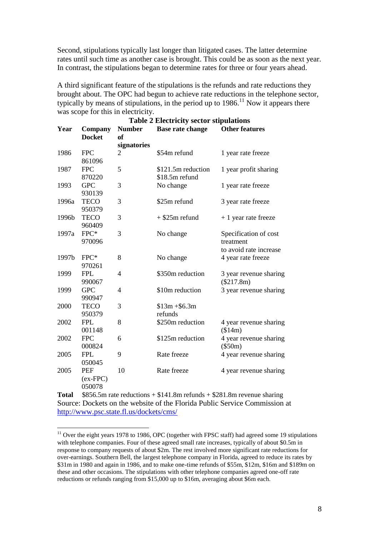Second, stipulations typically last longer than litigated cases. The latter determine rates until such time as another case is brought. This could be as soon as the next year. In contrast, the stipulations began to determine rates for three or four years ahead.

A third significant feature of the stipulations is the refunds and rate reductions they brought about. The OPC had begun to achieve rate reductions in the telephone sector, typically by means of stipulations, in the period up to  $1986$ .<sup>11</sup> Now it appears there was scope for this in electricity.

| <b>Table 2 Electricity sector stipulations</b> |                                    |                            |                                      |                                                              |  |
|------------------------------------------------|------------------------------------|----------------------------|--------------------------------------|--------------------------------------------------------------|--|
| Year                                           | Company<br><b>Docket</b>           | <b>Number</b><br><b>of</b> | <b>Base rate change</b>              | <b>Other features</b>                                        |  |
|                                                |                                    | signatories                |                                      |                                                              |  |
| 1986                                           | <b>FPC</b><br>861096               | 2                          | \$54m refund                         | 1 year rate freeze                                           |  |
| 1987                                           | <b>FPC</b><br>870220               | 5                          | \$121.5m reduction<br>\$18.5m refund | 1 year profit sharing                                        |  |
| 1993                                           | <b>GPC</b><br>930139               | 3                          | No change                            | 1 year rate freeze                                           |  |
| 1996a                                          | <b>TECO</b><br>950379              | 3                          | \$25m refund                         | 3 year rate freeze                                           |  |
| 1996b                                          | <b>TECO</b><br>960409              | 3                          | $+$ \$25m refund                     | + 1 year rate freeze                                         |  |
| 1997a                                          | FPC*<br>970096                     | 3                          | No change                            | Specification of cost<br>treatment<br>to avoid rate increase |  |
| 1997b                                          | FPC*<br>970261                     | 8                          | No change                            | 4 year rate freeze                                           |  |
| 1999                                           | <b>FPL</b><br>990067               | 4                          | \$350m reduction                     | 3 year revenue sharing<br>$(\$217.8m)$                       |  |
| 1999                                           | <b>GPC</b><br>990947               | 4                          | \$10m reduction                      | 3 year revenue sharing                                       |  |
| 2000                                           | <b>TECO</b><br>950379              | 3                          | $$13m + $6.3m$<br>refunds            |                                                              |  |
| 2002                                           | <b>FPL</b><br>001148               | 8                          | \$250m reduction                     | 4 year revenue sharing<br>(\$14m)                            |  |
| 2002                                           | <b>FPC</b><br>000824               | 6                          | \$125m reduction                     | 4 year revenue sharing<br>$(\$50m)$                          |  |
| 2005                                           | <b>FPL</b><br>050045               | 9                          | Rate freeze                          | 4 year revenue sharing                                       |  |
| 2005                                           | <b>PEF</b><br>$(ex-FPC)$<br>050078 | 10                         | Rate freeze                          | 4 year revenue sharing                                       |  |

**Total** \$856.5m rate reductions + \$141.8m refunds + \$281.8m revenue sharing Source: Dockets on the website of the Florida Public Service Commission at <http://www.psc.state.fl.us/dockets/cms/>

 $11$  Over the eight years 1978 to 1986, OPC (together with FPSC staff) had agreed some 19 stipulations with telephone companies. Four of these agreed small rate increases, typically of about \$0.5m in response to company requests of about \$2m. The rest involved more significant rate reductions for over-earnings. Southern Bell, the largest telephone company in Florida, agreed to reduce its rates by \$31m in 1980 and again in 1986, and to make one-time refunds of \$55m, \$12m, \$16m and \$189m on these and other occasions. The stipulations with other telephone companies agreed one-off rate reductions or refunds ranging from \$15,000 up to \$16m, averaging about \$6m each.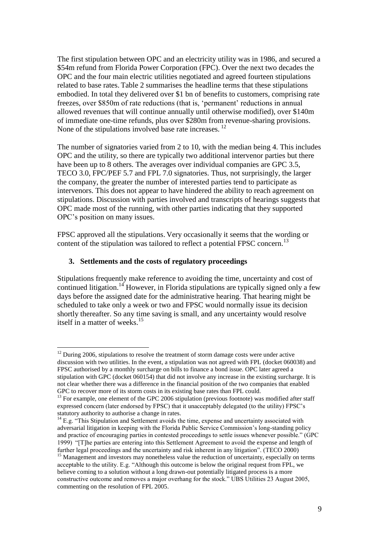The first stipulation between OPC and an electricity utility was in 1986, and secured a \$54m refund from Florida Power Corporation (FPC). Over the next two decades the OPC and the four main electric utilities negotiated and agreed fourteen stipulations related to base rates. Table 2 summarises the headline terms that these stipulations embodied. In total they delivered over \$1 bn of benefits to customers, comprising rate freezes, over \$850m of rate reductions (that is, "permanent" reductions in annual allowed revenues that will continue annually until otherwise modified), over \$140m of immediate one-time refunds, plus over \$280m from revenue-sharing provisions. None of the stipulations involved base rate increases. <sup>12</sup>

The number of signatories varied from 2 to 10, with the median being 4. This includes OPC and the utility, so there are typically two additional intervenor parties but there have been up to 8 others. The averages over individual companies are GPC 3.5, TECO 3.0, FPC/PEF 5.7 and FPL 7.0 signatories. Thus, not surprisingly, the larger the company, the greater the number of interested parties tend to participate as intervenors. This does not appear to have hindered the ability to reach agreement on stipulations. Discussion with parties involved and transcripts of hearings suggests that OPC made most of the running, with other parties indicating that they supported OPC"s position on many issues.

FPSC approved all the stipulations. Very occasionally it seems that the wording or content of the stipulation was tailored to reflect a potential FPSC concern.<sup>13</sup>

## **3. Settlements and the costs of regulatory proceedings**

1

Stipulations frequently make reference to avoiding the time, uncertainty and cost of continued litigation.<sup>14</sup> However, in Florida stipulations are typically signed only a few days before the assigned date for the administrative hearing. That hearing might be scheduled to take only a week or two and FPSC would normally issue its decision shortly thereafter. So any time saving is small, and any uncertainty would resolve itself in a matter of weeks.<sup>15</sup>

 $12$  During 2006, stipulations to resolve the treatment of storm damage costs were under active discussion with two utilities. In the event, a stipulation was not agreed with FPL (docket 060038) and FPSC authorised by a monthly surcharge on bills to finance a bond issue. OPC later agreed a stipulation with GPC (docket 060154) that did not involve any increase in the existing surcharge. It is not clear whether there was a difference in the financial position of the two companies that enabled GPC to recover more of its storm costs in its existing base rates than FPL could.

 $<sup>13</sup>$  For example, one element of the GPC 2006 stipulation (previous footnote) was modified after staff</sup> expressed concern (later endorsed by FPSC) that it unacceptably delegated (to the utility) FPSC"s statutory authority to authorise a change in rates.

 $14$  E.g. "This Stipulation and Settlement avoids the time, expense and uncertainty associated with adversarial litigation in keeping with the Florida Public Service Commission's long-standing policy and practice of encouraging parties in contested proceedings to settle issues whenever possible." (GPC 1999) "[T]he parties are entering into this Settlement Agreement to avoid the expense and length of further legal proceedings and the uncertainty and risk inherent in any litigation". (TECO 2000)

<sup>&</sup>lt;sup>15</sup> Management and investors may nonetheless value the reduction of uncertainty, especially on terms acceptable to the utility. E.g. "Although this outcome is below the original request from FPL, we believe coming to a solution without a long drawn-out potentially litigated process is a more constructive outcome and removes a major overhang for the stock." UBS Utilities 23 August 2005, commenting on the resolution of FPL 2005.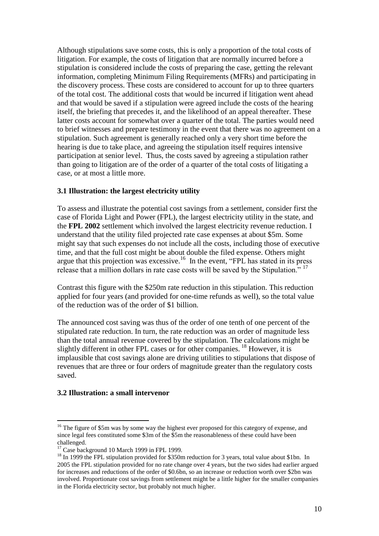Although stipulations save some costs, this is only a proportion of the total costs of litigation. For example, the costs of litigation that are normally incurred before a stipulation is considered include the costs of preparing the case, getting the relevant information, completing Minimum Filing Requirements (MFRs) and participating in the discovery process. These costs are considered to account for up to three quarters of the total cost. The additional costs that would be incurred if litigation went ahead and that would be saved if a stipulation were agreed include the costs of the hearing itself, the briefing that precedes it, and the likelihood of an appeal thereafter. These latter costs account for somewhat over a quarter of the total. The parties would need to brief witnesses and prepare testimony in the event that there was no agreement on a stipulation. Such agreement is generally reached only a very short time before the hearing is due to take place, and agreeing the stipulation itself requires intensive participation at senior level. Thus, the costs saved by agreeing a stipulation rather than going to litigation are of the order of a quarter of the total costs of litigating a case, or at most a little more.

## **3.1 Illustration: the largest electricity utility**

To assess and illustrate the potential cost savings from a settlement, consider first the case of Florida Light and Power (FPL), the largest electricity utility in the state, and the **FPL 2002** settlement which involved the largest electricity revenue reduction. I understand that the utility filed projected rate case expenses at about \$5m. Some might say that such expenses do not include all the costs, including those of executive time, and that the full cost might be about double the filed expense. Others might argue that this projection was excessive.<sup>16</sup> In the event, "FPL has stated in its press release that a million dollars in rate case costs will be saved by the Stipulation."<sup>17</sup>

Contrast this figure with the \$250m rate reduction in this stipulation. This reduction applied for four years (and provided for one-time refunds as well), so the total value of the reduction was of the order of \$1 billion.

The announced cost saving was thus of the order of one tenth of one percent of the stipulated rate reduction. In turn, the rate reduction was an order of magnitude less than the total annual revenue covered by the stipulation. The calculations might be slightly different in other FPL cases or for other companies. <sup>18</sup> However, it is implausible that cost savings alone are driving utilities to stipulations that dispose of revenues that are three or four orders of magnitude greater than the regulatory costs saved.

## **3.2 Illustration: a small intervenor**

<u>.</u>

<sup>&</sup>lt;sup>16</sup> The figure of \$5m was by some way the highest ever proposed for this category of expense, and since legal fees constituted some \$3m of the \$5m the reasonableness of these could have been challenged.

<sup>&</sup>lt;sup>17</sup> Case background 10 March 1999 in FPL 1999.

<sup>&</sup>lt;sup>18</sup> In 1999 the FPL stipulation provided for \$350m reduction for 3 years, total value about \$1bn. In 2005 the FPL stipulation provided for no rate change over 4 years, but the two sides had earlier argued for increases and reductions of the order of \$0.6bn, so an increase or reduction worth over \$2bn was involved. Proportionate cost savings from settlement might be a little higher for the smaller companies in the Florida electricity sector, but probably not much higher.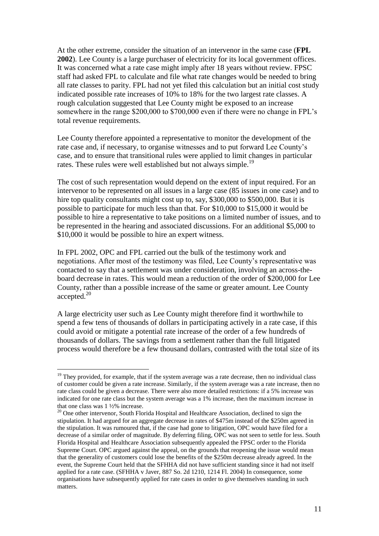At the other extreme, consider the situation of an intervenor in the same case (**FPL 2002**). Lee County is a large purchaser of electricity for its local government offices. It was concerned what a rate case might imply after 18 years without review. FPSC staff had asked FPL to calculate and file what rate changes would be needed to bring all rate classes to parity. FPL had not yet filed this calculation but an initial cost study indicated possible rate increases of 10% to 18% for the two largest rate classes. A rough calculation suggested that Lee County might be exposed to an increase somewhere in the range \$200,000 to \$700,000 even if there were no change in FPL's total revenue requirements.

Lee County therefore appointed a representative to monitor the development of the rate case and, if necessary, to organise witnesses and to put forward Lee County"s case, and to ensure that transitional rules were applied to limit changes in particular rates. These rules were well established but not always simple.<sup>19</sup>

The cost of such representation would depend on the extent of input required. For an intervenor to be represented on all issues in a large case (85 issues in one case) and to hire top quality consultants might cost up to, say, \$300,000 to \$500,000. But it is possible to participate for much less than that. For \$10,000 to \$15,000 it would be possible to hire a representative to take positions on a limited number of issues, and to be represented in the hearing and associated discussions. For an additional \$5,000 to \$10,000 it would be possible to hire an expert witness.

In FPL 2002, OPC and FPL carried out the bulk of the testimony work and negotiations. After most of the testimony was filed, Lee County"s representative was contacted to say that a settlement was under consideration, involving an across-theboard decrease in rates. This would mean a reduction of the order of \$200,000 for Lee County, rather than a possible increase of the same or greater amount. Lee County accepted. 20

A large electricity user such as Lee County might therefore find it worthwhile to spend a few tens of thousands of dollars in participating actively in a rate case, if this could avoid or mitigate a potential rate increase of the order of a few hundreds of thousands of dollars. The savings from a settlement rather than the full litigated process would therefore be a few thousand dollars, contrasted with the total size of its

<sup>&</sup>lt;sup>19</sup> They provided, for example, that if the system average was a rate decrease, then no individual class of customer could be given a rate increase. Similarly, if the system average was a rate increase, then no rate class could be given a decrease. There were also more detailed restrictions: if a 5% increase was indicated for one rate class but the system average was a 1% increase, then the maximum increase in that one class was 1 ½% increase.

 $20$  One other intervenor, South Florida Hospital and Healthcare Association, declined to sign the stipulation. It had argued for an aggregate decrease in rates of \$475m instead of the \$250m agreed in the stipulation. It was rumoured that, if the case had gone to litigation, OPC would have filed for a decrease of a similar order of magnitude. By deferring filing, OPC was not seen to settle for less. South Florida Hospital and Healthcare Association subsequently appealed the FPSC order to the Florida Supreme Court. OPC argued against the appeal, on the grounds that reopening the issue would mean that the generality of customers could lose the benefits of the \$250m decrease already agreed. In the event, the Supreme Court held that the SFHHA did not have sufficient standing since it had not itself applied for a rate case. (SFHHA v Javer, 887 So. 2d 1210, 1214 Fl. 2004) In consequence, some organisations have subsequently applied for rate cases in order to give themselves standing in such matters.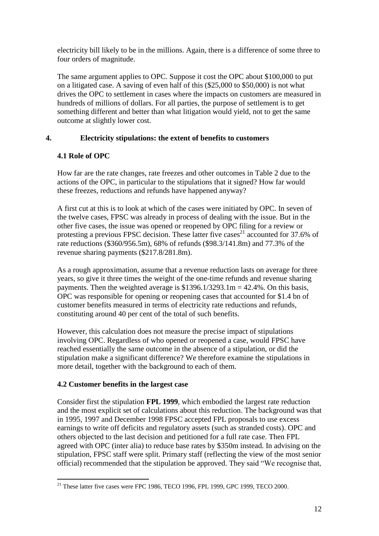electricity bill likely to be in the millions. Again, there is a difference of some three to four orders of magnitude.

The same argument applies to OPC. Suppose it cost the OPC about \$100,000 to put on a litigated case. A saving of even half of this (\$25,000 to \$50,000) is not what drives the OPC to settlement in cases where the impacts on customers are measured in hundreds of millions of dollars. For all parties, the purpose of settlement is to get something different and better than what litigation would yield, not to get the same outcome at slightly lower cost.

# **4. Electricity stipulations: the extent of benefits to customers**

# **4.1 Role of OPC**

How far are the rate changes, rate freezes and other outcomes in Table 2 due to the actions of the OPC, in particular to the stipulations that it signed? How far would these freezes, reductions and refunds have happened anyway?

A first cut at this is to look at which of the cases were initiated by OPC. In seven of the twelve cases, FPSC was already in process of dealing with the issue. But in the other five cases, the issue was opened or reopened by OPC filing for a review or protesting a previous FPSC decision. These latter five cases<sup>21</sup> accounted for 37.6% of rate reductions (\$360/956.5m), 68% of refunds (\$98.3/141.8m) and 77.3% of the revenue sharing payments (\$217.8/281.8m).

As a rough approximation, assume that a revenue reduction lasts on average for three years, so give it three times the weight of the one-time refunds and revenue sharing payments. Then the weighted average is  $$1396.1/3293.1m = 42.4\%$ . On this basis, OPC was responsible for opening or reopening cases that accounted for \$1.4 bn of customer benefits measured in terms of electricity rate reductions and refunds, constituting around 40 per cent of the total of such benefits.

However, this calculation does not measure the precise impact of stipulations involving OPC. Regardless of who opened or reopened a case, would FPSC have reached essentially the same outcome in the absence of a stipulation, or did the stipulation make a significant difference? We therefore examine the stipulations in more detail, together with the background to each of them.

# **4.2 Customer benefits in the largest case**

Consider first the stipulation **FPL 1999**, which embodied the largest rate reduction and the most explicit set of calculations about this reduction. The background was that in 1995, 1997 and December 1998 FPSC accepted FPL proposals to use excess earnings to write off deficits and regulatory assets (such as stranded costs). OPC and others objected to the last decision and petitioned for a full rate case. Then FPL agreed with OPC (inter alia) to reduce base rates by \$350m instead. In advising on the stipulation, FPSC staff were split. Primary staff (reflecting the view of the most senior official) recommended that the stipulation be approved. They said "We recognise that,

<sup>1</sup>  $21$  These latter five cases were FPC 1986, TECO 1996, FPL 1999, GPC 1999, TECO 2000.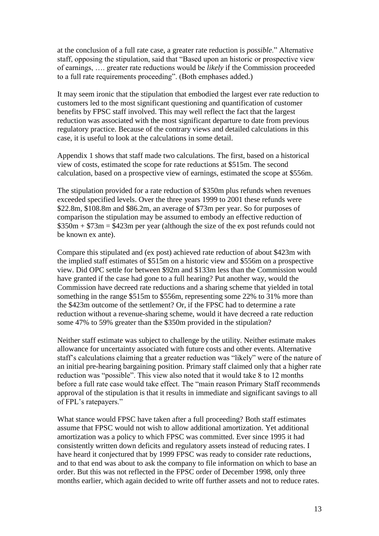at the conclusion of a full rate case, a greater rate reduction is *possible*." Alternative staff, opposing the stipulation, said that "Based upon an historic or prospective view of earnings, …. greater rate reductions would be *likely* if the Commission proceeded to a full rate requirements proceeding". (Both emphases added.)

It may seem ironic that the stipulation that embodied the largest ever rate reduction to customers led to the most significant questioning and quantification of customer benefits by FPSC staff involved. This may well reflect the fact that the largest reduction was associated with the most significant departure to date from previous regulatory practice. Because of the contrary views and detailed calculations in this case, it is useful to look at the calculations in some detail.

Appendix 1 shows that staff made two calculations. The first, based on a historical view of costs, estimated the scope for rate reductions at \$515m. The second calculation, based on a prospective view of earnings, estimated the scope at \$556m.

The stipulation provided for a rate reduction of \$350m plus refunds when revenues exceeded specified levels. Over the three years 1999 to 2001 these refunds were \$22.8m, \$108.8m and \$86.2m, an average of \$73m per year. So for purposes of comparison the stipulation may be assumed to embody an effective reduction of  $$350m + $73m = $423m$  per year (although the size of the ex post refunds could not be known ex ante).

Compare this stipulated and (ex post) achieved rate reduction of about \$423m with the implied staff estimates of \$515m on a historic view and \$556m on a prospective view. Did OPC settle for between \$92m and \$133m less than the Commission would have granted if the case had gone to a full hearing? Put another way, would the Commission have decreed rate reductions and a sharing scheme that yielded in total something in the range \$515m to \$556m, representing some 22% to 31% more than the \$423m outcome of the settlement? Or, if the FPSC had to determine a rate reduction without a revenue-sharing scheme, would it have decreed a rate reduction some 47% to 59% greater than the \$350m provided in the stipulation?

Neither staff estimate was subject to challenge by the utility. Neither estimate makes allowance for uncertainty associated with future costs and other events. Alternative staff"s calculations claiming that a greater reduction was "likely" were of the nature of an initial pre-hearing bargaining position. Primary staff claimed only that a higher rate reduction was "possible". This view also noted that it would take 8 to 12 months before a full rate case would take effect. The "main reason Primary Staff recommends approval of the stipulation is that it results in immediate and significant savings to all of FPL"s ratepayers."

What stance would FPSC have taken after a full proceeding? Both staff estimates assume that FPSC would not wish to allow additional amortization. Yet additional amortization was a policy to which FPSC was committed. Ever since 1995 it had consistently written down deficits and regulatory assets instead of reducing rates. I have heard it conjectured that by 1999 FPSC was ready to consider rate reductions, and to that end was about to ask the company to file information on which to base an order. But this was not reflected in the FPSC order of December 1998, only three months earlier, which again decided to write off further assets and not to reduce rates.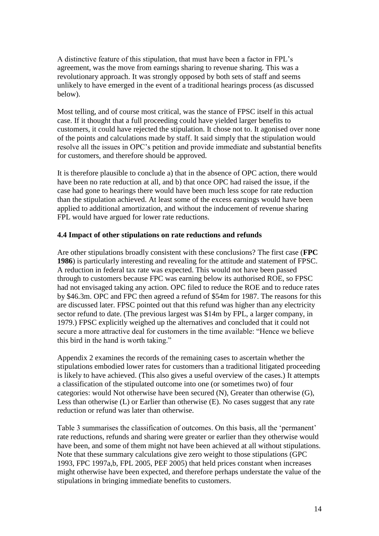A distinctive feature of this stipulation, that must have been a factor in FPL"s agreement, was the move from earnings sharing to revenue sharing. This was a revolutionary approach. It was strongly opposed by both sets of staff and seems unlikely to have emerged in the event of a traditional hearings process (as discussed below).

Most telling, and of course most critical, was the stance of FPSC itself in this actual case. If it thought that a full proceeding could have yielded larger benefits to customers, it could have rejected the stipulation. It chose not to. It agonised over none of the points and calculations made by staff. It said simply that the stipulation would resolve all the issues in OPC"s petition and provide immediate and substantial benefits for customers, and therefore should be approved.

It is therefore plausible to conclude a) that in the absence of OPC action, there would have been no rate reduction at all, and b) that once OPC had raised the issue, if the case had gone to hearings there would have been much less scope for rate reduction than the stipulation achieved. At least some of the excess earnings would have been applied to additional amortization, and without the inducement of revenue sharing FPL would have argued for lower rate reductions.

## **4.4 Impact of other stipulations on rate reductions and refunds**

Are other stipulations broadly consistent with these conclusions? The first case (**FPC 1986**) is particularly interesting and revealing for the attitude and statement of FPSC. A reduction in federal tax rate was expected. This would not have been passed through to customers because FPC was earning below its authorised ROE, so FPSC had not envisaged taking any action. OPC filed to reduce the ROE and to reduce rates by \$46.3m. OPC and FPC then agreed a refund of \$54m for 1987. The reasons for this are discussed later. FPSC pointed out that this refund was higher than any electricity sector refund to date. (The previous largest was \$14m by FPL, a larger company, in 1979.) FPSC explicitly weighed up the alternatives and concluded that it could not secure a more attractive deal for customers in the time available: "Hence we believe this bird in the hand is worth taking."

Appendix 2 examines the records of the remaining cases to ascertain whether the stipulations embodied lower rates for customers than a traditional litigated proceeding is likely to have achieved. (This also gives a useful overview of the cases.) It attempts a classification of the stipulated outcome into one (or sometimes two) of four categories: would Not otherwise have been secured (N), Greater than otherwise (G), Less than otherwise (L) or Earlier than otherwise (E). No cases suggest that any rate reduction or refund was later than otherwise.

Table 3 summarises the classification of outcomes. On this basis, all the "permanent" rate reductions, refunds and sharing were greater or earlier than they otherwise would have been, and some of them might not have been achieved at all without stipulations. Note that these summary calculations give zero weight to those stipulations (GPC 1993, FPC 1997a,b, FPL 2005, PEF 2005) that held prices constant when increases might otherwise have been expected, and therefore perhaps understate the value of the stipulations in bringing immediate benefits to customers.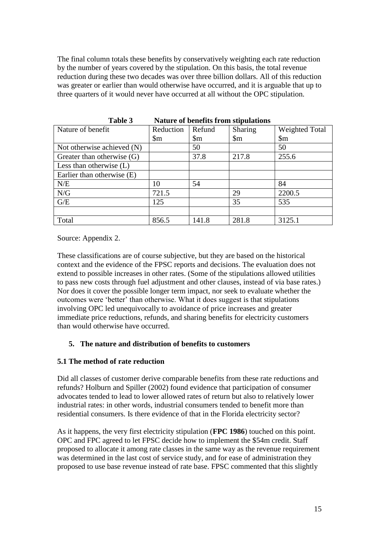The final column totals these benefits by conservatively weighting each rate reduction by the number of years covered by the stipulation. On this basis, the total revenue reduction during these two decades was over three billion dollars. All of this reduction was greater or earlier than would otherwise have occurred, and it is arguable that up to three quarters of it would never have occurred at all without the OPC stipulation.

| 1 avit J<br>rature of benefits if one supulations |                  |                  |                            |                        |  |
|---------------------------------------------------|------------------|------------------|----------------------------|------------------------|--|
| Nature of benefit                                 | Reduction        | Refund           | <b>Sharing</b>             | <b>Weighted Total</b>  |  |
|                                                   | $\mathbb{S}_{m}$ | $\mathbb{S}_{m}$ | $\mathop{\rm Sm}\nolimits$ | $\mathop{\mathrm{Sm}}$ |  |
| Not otherwise achieved (N)                        |                  | 50               |                            | 50                     |  |
| Greater than otherwise $(G)$                      |                  | 37.8             | 217.8                      | 255.6                  |  |
| Less than otherwise $(L)$                         |                  |                  |                            |                        |  |
| Earlier than otherwise (E)                        |                  |                  |                            |                        |  |
| N/E                                               | 10               | 54               |                            | 84                     |  |
| N/G                                               | 721.5            |                  | 29                         | 2200.5                 |  |
| G/E                                               | 125              |                  | 35                         | 535                    |  |
|                                                   |                  |                  |                            |                        |  |
| Total                                             | 856.5            | 141.8            | 281.8                      | 3125.1                 |  |

**Table 3 Nature of benefits from stipulations**

Source: Appendix 2.

These classifications are of course subjective, but they are based on the historical context and the evidence of the FPSC reports and decisions. The evaluation does not extend to possible increases in other rates. (Some of the stipulations allowed utilities to pass new costs through fuel adjustment and other clauses, instead of via base rates.) Nor does it cover the possible longer term impact, nor seek to evaluate whether the outcomes were "better" than otherwise. What it does suggest is that stipulations involving OPC led unequivocally to avoidance of price increases and greater immediate price reductions, refunds, and sharing benefits for electricity customers than would otherwise have occurred.

## **5. The nature and distribution of benefits to customers**

## **5.1 The method of rate reduction**

Did all classes of customer derive comparable benefits from these rate reductions and refunds? Holburn and Spiller (2002) found evidence that participation of consumer advocates tended to lead to lower allowed rates of return but also to relatively lower industrial rates: in other words, industrial consumers tended to benefit more than residential consumers. Is there evidence of that in the Florida electricity sector?

As it happens, the very first electricity stipulation (**FPC 1986**) touched on this point. OPC and FPC agreed to let FPSC decide how to implement the \$54m credit. Staff proposed to allocate it among rate classes in the same way as the revenue requirement was determined in the last cost of service study, and for ease of administration they proposed to use base revenue instead of rate base. FPSC commented that this slightly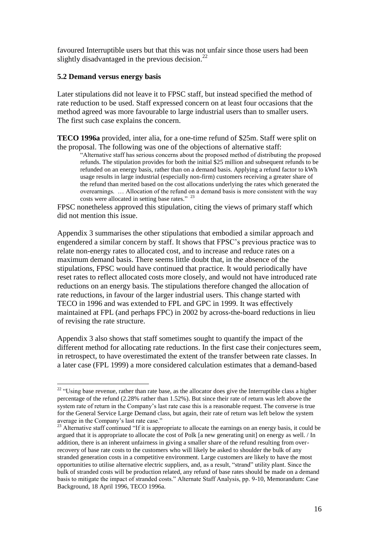favoured Interruptible users but that this was not unfair since those users had been slightly disadvantaged in the previous decision.<sup>22</sup>

## **5.2 Demand versus energy basis**

1

Later stipulations did not leave it to FPSC staff, but instead specified the method of rate reduction to be used. Staff expressed concern on at least four occasions that the method agreed was more favourable to large industrial users than to smaller users. The first such case explains the concern.

**TECO 1996a** provided, inter alia, for a one-time refund of \$25m. Staff were split on the proposal. The following was one of the objections of alternative staff:

"Alternative staff has serious concerns about the proposed method of distributing the proposed refunds. The stipulation provides for both the initial \$25 million and subsequent refunds to be refunded on an energy basis, rather than on a demand basis. Applying a refund factor to kWh usage results in large industrial (especially non-firm) customers receiving a greater share of the refund than merited based on the cost allocations underlying the rates which generated the overearnings. … Allocation of the refund on a demand basis is more consistent with the way costs were allocated in setting base rates."<sup>23</sup>

FPSC nonetheless approved this stipulation, citing the views of primary staff which did not mention this issue.

Appendix 3 summarises the other stipulations that embodied a similar approach and engendered a similar concern by staff. It shows that FPSC"s previous practice was to relate non-energy rates to allocated cost, and to increase and reduce rates on a maximum demand basis. There seems little doubt that, in the absence of the stipulations, FPSC would have continued that practice. It would periodically have reset rates to reflect allocated costs more closely, and would not have introduced rate reductions on an energy basis. The stipulations therefore changed the allocation of rate reductions, in favour of the larger industrial users. This change started with TECO in 1996 and was extended to FPL and GPC in 1999. It was effectively maintained at FPL (and perhaps FPC) in 2002 by across-the-board reductions in lieu of revising the rate structure.

Appendix 3 also shows that staff sometimes sought to quantify the impact of the different method for allocating rate reductions. In the first case their conjectures seem, in retrospect, to have overestimated the extent of the transfer between rate classes. In a later case (FPL 1999) a more considered calculation estimates that a demand-based

<sup>&</sup>lt;sup>22</sup> "Using base revenue, rather than rate base, as the allocator does give the Interruptible class a higher percentage of the refund (2.28% rather than 1.52%). But since their rate of return was left above the system rate of return in the Company"s last rate case this is a reasonable request. The converse is true for the General Service Large Demand class, but again, their rate of return was left below the system average in the Company's last rate case."

<sup>&</sup>lt;sup>23</sup> Alternative staff continued "If it is appropriate to allocate the earnings on an energy basis, it could be argued that it is appropriate to allocate the cost of Polk [a new generating unit] on energy as well. / In addition, there is an inherent unfairness in giving a smaller share of the refund resulting from overrecovery of base rate costs to the customers who will likely be asked to shoulder the bulk of any stranded generation costs in a competitive environment. Large customers are likely to have the most opportunities to utilise alternative electric suppliers, and, as a result, "strand" utility plant. Since the bulk of stranded costs will be production related, any refund of base rates should be made on a demand basis to mitigate the impact of stranded costs." Alternate Staff Analysis, pp. 9-10, Memorandum: Case Background, 18 April 1996, TECO 1996a.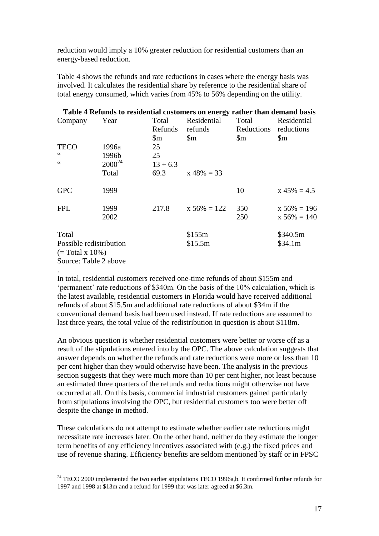reduction would imply a 10% greater reduction for residential customers than an energy-based reduction.

Table 4 shows the refunds and rate reductions in cases where the energy basis was involved. It calculates the residential share by reference to the residential share of total energy consumed, which varies from 45% to 56% depending on the utility.

| Table 4 Refunds to residential customers on energy rather than demand basis |             |                  |                        |                            |                           |
|-----------------------------------------------------------------------------|-------------|------------------|------------------------|----------------------------|---------------------------|
| Company                                                                     | Year        | Total<br>Refunds | Residential<br>refunds | Total<br>Reductions        | Residential<br>reductions |
|                                                                             |             | \$m              | \$m                    | $\mathop{\rm Sm}\nolimits$ | $\mathbb{S}_{m}$          |
| <b>TECO</b>                                                                 | 1996a       | 25               |                        |                            |                           |
| cc                                                                          | 1996b       | 25               |                        |                            |                           |
| $\zeta$ $\zeta$                                                             | $2000^{24}$ | $13 + 6.3$       |                        |                            |                           |
|                                                                             | Total       | 69.3             | $x 48\% = 33$          |                            |                           |
| <b>GPC</b>                                                                  | 1999        |                  |                        | 10                         | $x 45\% = 4.5$            |
| <b>FPL</b>                                                                  | 1999        | 217.8            | $x 56\% = 122$         | 350                        | $x 56\% = 196$            |
|                                                                             | 2002        |                  |                        | 250                        | $x 56\% = 140$            |
| Total                                                                       |             |                  | \$155m                 |                            | \$340.5m                  |
| Possible redistribution                                                     |             |                  | \$15.5m                |                            | \$34.1m                   |
| $(=\text{Total } x 10\%)$                                                   |             |                  |                        |                            |                           |
| Source: Table 2 above                                                       |             |                  |                        |                            |                           |
|                                                                             |             |                  |                        |                            |                           |

In total, residential customers received one-time refunds of about \$155m and 'permanent' rate reductions of \$340m. On the basis of the 10% calculation, which is the latest available, residential customers in Florida would have received additional refunds of about \$15.5m and additional rate reductions of about \$34m if the conventional demand basis had been used instead. If rate reductions are assumed to last three years, the total value of the redistribution in question is about \$118m.

An obvious question is whether residential customers were better or worse off as a result of the stipulations entered into by the OPC. The above calculation suggests that answer depends on whether the refunds and rate reductions were more or less than 10 per cent higher than they would otherwise have been. The analysis in the previous section suggests that they were much more than 10 per cent higher, not least because an estimated three quarters of the refunds and reductions might otherwise not have occurred at all. On this basis, commercial industrial customers gained particularly from stipulations involving the OPC, but residential customers too were better off despite the change in method.

These calculations do not attempt to estimate whether earlier rate reductions might necessitate rate increases later. On the other hand, neither do they estimate the longer term benefits of any efficiency incentives associated with (e.g.) the fixed prices and use of revenue sharing. Efficiency benefits are seldom mentioned by staff or in FPSC

<sup>&</sup>lt;sup>24</sup> TECO 2000 implemented the two earlier stipulations TECO 1996a,b. It confirmed further refunds for 1997 and 1998 at \$13m and a refund for 1999 that was later agreed at \$6.3m.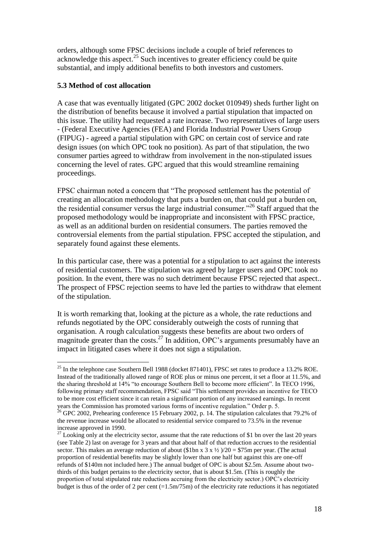orders, although some FPSC decisions include a couple of brief references to acknowledge this aspect.<sup>25</sup> Such incentives to greater efficiency could be quite substantial, and imply additional benefits to both investors and customers.

## **5.3 Method of cost allocation**

1

A case that was eventually litigated (GPC 2002 docket 010949) sheds further light on the distribution of benefits because it involved a partial stipulation that impacted on this issue. The utility had requested a rate increase. Two representatives of large users - (Federal Executive Agencies (FEA) and Florida Industrial Power Users Group (FIPUG) - agreed a partial stipulation with GPC on certain cost of service and rate design issues (on which OPC took no position). As part of that stipulation, the two consumer parties agreed to withdraw from involvement in the non-stipulated issues concerning the level of rates. GPC argued that this would streamline remaining proceedings.

FPSC chairman noted a concern that "The proposed settlement has the potential of creating an allocation methodology that puts a burden on, that could put a burden on, the residential consumer versus the large industrial consumer."<sup>26</sup> Staff argued that the proposed methodology would be inappropriate and inconsistent with FPSC practice, as well as an additional burden on residential consumers. The parties removed the controversial elements from the partial stipulation. FPSC accepted the stipulation, and separately found against these elements.

In this particular case, there was a potential for a stipulation to act against the interests of residential customers. The stipulation was agreed by larger users and OPC took no position. In the event, there was no such detriment because FPSC rejected that aspect.. The prospect of FPSC rejection seems to have led the parties to withdraw that element of the stipulation.

It is worth remarking that, looking at the picture as a whole, the rate reductions and refunds negotiated by the OPC considerably outweigh the costs of running that organisation. A rough calculation suggests these benefits are about two orders of magnitude greater than the costs.<sup>27</sup> In addition, OPC's arguments presumably have an impact in litigated cases where it does not sign a stipulation.

 $^{25}$  In the telephone case Southern Bell 1988 (docket 871401), FPSC set rates to produce a 13.2% ROE. Instead of the traditionally allowed range of ROE plus or minus one percent, it set a floor at 11.5%, and the sharing threshold at 14% "to encourage Southern Bell to become more efficient". In TECO 1996, following primary staff recommendation, FPSC said "This settlement provides an incentive for TECO to be more cost efficient since it can retain a significant portion of any increased earnings. In recent years the Commission has promoted various forms of incentive regulation." Order p. 5.

 $^{26}$  GPC 2002, Prehearing conference 15 February 2002, p. 14. The stipulation calculates that 79.2% of the revenue increase would be allocated to residential service compared to 73.5% in the revenue increase approved in 1990.

 $27$  Looking only at the electricity sector, assume that the rate reductions of \$1 bn over the last 20 years (see Table 2) last on average for 3 years and that about half of that reduction accrues to the residential sector. This makes an average reduction of about (\$1bn x 3 x  $\frac{1}{2}$ )/20 = \$75m per year. (The actual proportion of residential benefits may be slightly lower than one half but against this are one-off refunds of \$140m not included here.) The annual budget of OPC is about \$2.5m. Assume about twothirds of this budget pertains to the electricity sector, that is about \$1.5m. (This is roughly the proportion of total stipulated rate reductions accruing from the electricity sector.) OPC"s electricity budget is thus of the order of 2 per cent  $(=1.5 \text{m}/75 \text{m})$  of the electricity rate reductions it has negotiated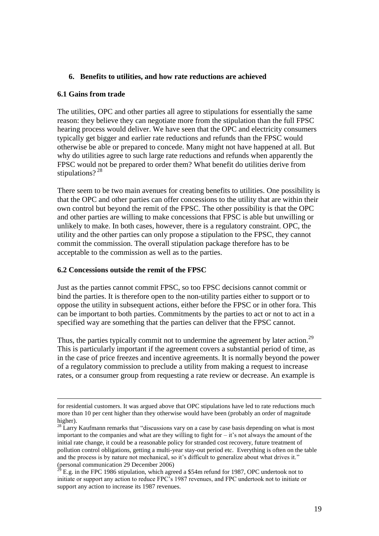## **6. Benefits to utilities, and how rate reductions are achieved**

#### **6.1 Gains from trade**

<u>.</u>

The utilities, OPC and other parties all agree to stipulations for essentially the same reason: they believe they can negotiate more from the stipulation than the full FPSC hearing process would deliver. We have seen that the OPC and electricity consumers typically get bigger and earlier rate reductions and refunds than the FPSC would otherwise be able or prepared to concede. Many might not have happened at all. But why do utilities agree to such large rate reductions and refunds when apparently the FPSC would not be prepared to order them? What benefit do utilities derive from stipulations?<sup>28</sup>

There seem to be two main avenues for creating benefits to utilities. One possibility is that the OPC and other parties can offer concessions to the utility that are within their own control but beyond the remit of the FPSC. The other possibility is that the OPC and other parties are willing to make concessions that FPSC is able but unwilling or unlikely to make. In both cases, however, there is a regulatory constraint. OPC, the utility and the other parties can only propose a stipulation to the FPSC, they cannot commit the commission. The overall stipulation package therefore has to be acceptable to the commission as well as to the parties.

## **6.2 Concessions outside the remit of the FPSC**

Just as the parties cannot commit FPSC, so too FPSC decisions cannot commit or bind the parties. It is therefore open to the non-utility parties either to support or to oppose the utility in subsequent actions, either before the FPSC or in other fora. This can be important to both parties. Commitments by the parties to act or not to act in a specified way are something that the parties can deliver that the FPSC cannot.

Thus, the parties typically commit not to undermine the agreement by later action.<sup>29</sup> This is particularly important if the agreement covers a substantial period of time, as in the case of price freezes and incentive agreements. It is normally beyond the power of a regulatory commission to preclude a utility from making a request to increase rates, or a consumer group from requesting a rate review or decrease. An example is

for residential customers. It was argued above that OPC stipulations have led to rate reductions much more than 10 per cent higher than they otherwise would have been (probably an order of magnitude higher).

 $28$  Larry Kaufmann remarks that "discussions vary on a case by case basis depending on what is most important to the companies and what are they willing to fight for  $-$  it's not always the amount of the initial rate change, it could be a reasonable policy for stranded cost recovery, future treatment of pollution control obligations, getting a multi-year stay-out period etc. Everything is often on the table and the process is by nature not mechanical, so it's difficult to generalize about what drives it." (personal communication 29 December 2006)

E.g. in the FPC 1986 stipulation, which agreed a \$54m refund for 1987, OPC undertook not to initiate or support any action to reduce FPC"s 1987 revenues, and FPC undertook not to initiate or support any action to increase its 1987 revenues.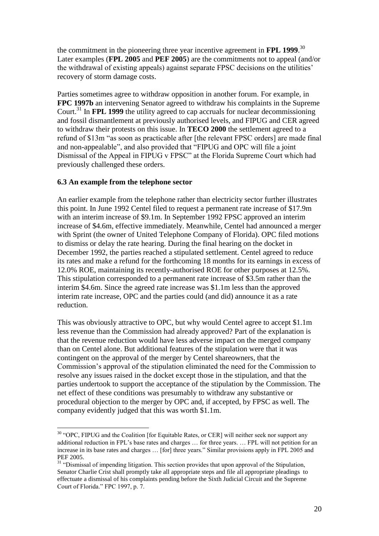the commitment in the pioneering three year incentive agreement in **FPL 1999**. 30 Later examples (**FPL 2005** and **PEF 2005**) are the commitments not to appeal (and/or the withdrawal of existing appeals) against separate FPSC decisions on the utilities" recovery of storm damage costs.

Parties sometimes agree to withdraw opposition in another forum. For example, in **FPC 1997b** an intervening Senator agreed to withdraw his complaints in the Supreme Court.<sup>31</sup> In **FPL 1999** the utility agreed to cap accruals for nuclear decommissioning and fossil dismantlement at previously authorised levels, and FIPUG and CER agreed to withdraw their protests on this issue. In **TECO 2000** the settlement agreed to a refund of \$13m "as soon as practicable after [the relevant FPSC orders] are made final and non-appealable", and also provided that "FIPUG and OPC will file a joint Dismissal of the Appeal in FIPUG v FPSC" at the Florida Supreme Court which had previously challenged these orders.

## **6.3 An example from the telephone sector**

1

An earlier example from the telephone rather than electricity sector further illustrates this point. In June 1992 Centel filed to request a permanent rate increase of \$17.9m with an interim increase of \$9.1m. In September 1992 FPSC approved an interim increase of \$4.6m, effective immediately. Meanwhile, Centel had announced a merger with Sprint (the owner of United Telephone Company of Florida). OPC filed motions to dismiss or delay the rate hearing. During the final hearing on the docket in December 1992, the parties reached a stipulated settlement. Centel agreed to reduce its rates and make a refund for the forthcoming 18 months for its earnings in excess of 12.0% ROE, maintaining its recently-authorised ROE for other purposes at 12.5%. This stipulation corresponded to a permanent rate increase of \$3.5m rather than the interim \$4.6m. Since the agreed rate increase was \$1.1m less than the approved interim rate increase, OPC and the parties could (and did) announce it as a rate reduction.

This was obviously attractive to OPC, but why would Centel agree to accept \$1.1m less revenue than the Commission had already approved? Part of the explanation is that the revenue reduction would have less adverse impact on the merged company than on Centel alone. But additional features of the stipulation were that it was contingent on the approval of the merger by Centel shareowners, that the Commission"s approval of the stipulation eliminated the need for the Commission to resolve any issues raised in the docket except those in the stipulation, and that the parties undertook to support the acceptance of the stipulation by the Commission. The net effect of these conditions was presumably to withdraw any substantive or procedural objection to the merger by OPC and, if accepted, by FPSC as well. The company evidently judged that this was worth \$1.1m.

<sup>&</sup>lt;sup>30</sup> "OPC, FIPUG and the Coalition [for Equitable Rates, or CER] will neither seek nor support any additional reduction in FPL"s base rates and charges … for three years. … FPL will not petition for an increase in its base rates and charges … [for] three years." Similar provisions apply in FPL 2005 and PEF 2005.

<sup>&</sup>lt;sup>31</sup> "Dismissal of impending litigation. This section provides that upon approval of the Stipulation, Senator Charlie Crist shall promptly take all appropriate steps and file all appropriate pleadings to effectuate a dismissal of his complaints pending before the Sixth Judicial Circuit and the Supreme Court of Florida." FPC 1997, p. 7.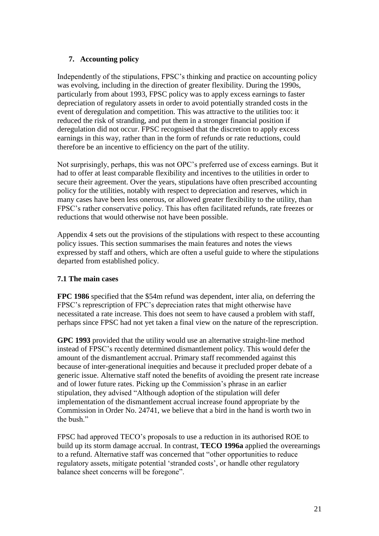# **7. Accounting policy**

Independently of the stipulations, FPSC"s thinking and practice on accounting policy was evolving, including in the direction of greater flexibility. During the 1990s, particularly from about 1993, FPSC policy was to apply excess earnings to faster depreciation of regulatory assets in order to avoid potentially stranded costs in the event of deregulation and competition. This was attractive to the utilities too: it reduced the risk of stranding, and put them in a stronger financial position if deregulation did not occur. FPSC recognised that the discretion to apply excess earnings in this way, rather than in the form of refunds or rate reductions, could therefore be an incentive to efficiency on the part of the utility.

Not surprisingly, perhaps, this was not OPC"s preferred use of excess earnings. But it had to offer at least comparable flexibility and incentives to the utilities in order to secure their agreement. Over the years, stipulations have often prescribed accounting policy for the utilities, notably with respect to depreciation and reserves, which in many cases have been less onerous, or allowed greater flexibility to the utility, than FPSC"s rather conservative policy. This has often facilitated refunds, rate freezes or reductions that would otherwise not have been possible.

Appendix 4 sets out the provisions of the stipulations with respect to these accounting policy issues. This section summarises the main features and notes the views expressed by staff and others, which are often a useful guide to where the stipulations departed from established policy.

## **7.1 The main cases**

**FPC 1986** specified that the \$54m refund was dependent, inter alia, on deferring the FPSC"s represcription of FPC"s depreciation rates that might otherwise have necessitated a rate increase. This does not seem to have caused a problem with staff, perhaps since FPSC had not yet taken a final view on the nature of the represcription.

**GPC 1993** provided that the utility would use an alternative straight-line method instead of FPSC"s recently determined dismantlement policy. This would defer the amount of the dismantlement accrual. Primary staff recommended against this because of inter-generational inequities and because it precluded proper debate of a generic issue. Alternative staff noted the benefits of avoiding the present rate increase and of lower future rates. Picking up the Commission"s phrase in an earlier stipulation, they advised "Although adoption of the stipulation will defer implementation of the dismantlement accrual increase found appropriate by the Commission in Order No. 24741, we believe that a bird in the hand is worth two in the bush"

FPSC had approved TECO"s proposals to use a reduction in its authorised ROE to build up its storm damage accrual. In contrast, **TECO 1996a** applied the overearnings to a refund. Alternative staff was concerned that "other opportunities to reduce regulatory assets, mitigate potential "stranded costs", or handle other regulatory balance sheet concerns will be foregone".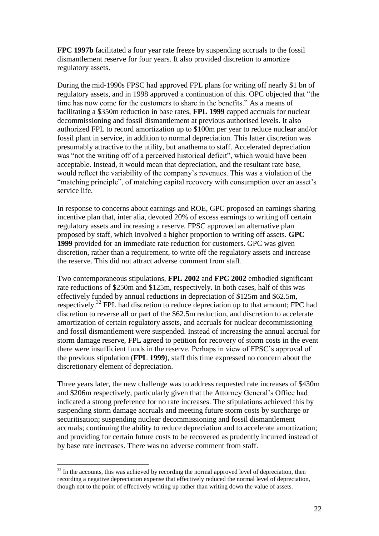**FPC 1997b** facilitated a four year rate freeze by suspending accruals to the fossil dismantlement reserve for four years. It also provided discretion to amortize regulatory assets.

During the mid-1990s FPSC had approved FPL plans for writing off nearly \$1 bn of regulatory assets, and in 1998 approved a continuation of this. OPC objected that "the time has now come for the customers to share in the benefits." As a means of facilitating a \$350m reduction in base rates, **FPL 1999** capped accruals for nuclear decommissioning and fossil dismantlement at previous authorised levels. It also authorized FPL to record amortization up to \$100m per year to reduce nuclear and/or fossil plant in service, in addition to normal depreciation. This latter discretion was presumably attractive to the utility, but anathema to staff. Accelerated depreciation was "not the writing off of a perceived historical deficit", which would have been acceptable. Instead, it would mean that depreciation, and the resultant rate base, would reflect the variability of the company"s revenues. This was a violation of the "matching principle", of matching capital recovery with consumption over an asset's service life.

In response to concerns about earnings and ROE, GPC proposed an earnings sharing incentive plan that, inter alia, devoted 20% of excess earnings to writing off certain regulatory assets and increasing a reserve. FPSC approved an alternative plan proposed by staff, which involved a higher proportion to writing off assets. **GPC 1999** provided for an immediate rate reduction for customers. GPC was given discretion, rather than a requirement, to write off the regulatory assets and increase the reserve. This did not attract adverse comment from staff.

Two contemporaneous stipulations, **FPL 2002** and **FPC 2002** embodied significant rate reductions of \$250m and \$125m, respectively. In both cases, half of this was effectively funded by annual reductions in depreciation of \$125m and \$62.5m, respectively. <sup>32</sup> FPL had discretion to reduce depreciation up to that amount; FPC had discretion to reverse all or part of the \$62.5m reduction, and discretion to accelerate amortization of certain regulatory assets, and accruals for nuclear decommissioning and fossil dismantlement were suspended. Instead of increasing the annual accrual for storm damage reserve, FPL agreed to petition for recovery of storm costs in the event there were insufficient funds in the reserve. Perhaps in view of FPSC"s approval of the previous stipulation (**FPL 1999**), staff this time expressed no concern about the discretionary element of depreciation.

Three years later, the new challenge was to address requested rate increases of \$430m and \$206m respectively, particularly given that the Attorney General"s Office had indicated a strong preference for no rate increases. The stipulations achieved this by suspending storm damage accruals and meeting future storm costs by surcharge or securitisation; suspending nuclear decommissioning and fossil dismantlement accruals; continuing the ability to reduce depreciation and to accelerate amortization; and providing for certain future costs to be recovered as prudently incurred instead of by base rate increases. There was no adverse comment from staff.

<u>.</u>

 $32$  In the accounts, this was achieved by recording the normal approved level of depreciation, then recording a negative depreciation expense that effectively reduced the normal level of depreciation, though not to the point of effectively writing up rather than writing down the value of assets.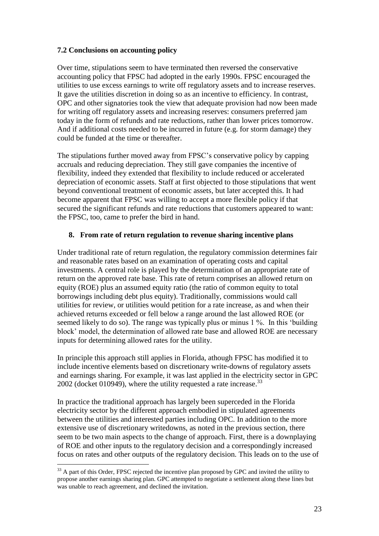## **7.2 Conclusions on accounting policy**

Over time, stipulations seem to have terminated then reversed the conservative accounting policy that FPSC had adopted in the early 1990s. FPSC encouraged the utilities to use excess earnings to write off regulatory assets and to increase reserves. It gave the utilities discretion in doing so as an incentive to efficiency. In contrast, OPC and other signatories took the view that adequate provision had now been made for writing off regulatory assets and increasing reserves: consumers preferred jam today in the form of refunds and rate reductions, rather than lower prices tomorrow. And if additional costs needed to be incurred in future (e.g. for storm damage) they could be funded at the time or thereafter.

The stipulations further moved away from FPSC"s conservative policy by capping accruals and reducing depreciation. They still gave companies the incentive of flexibility, indeed they extended that flexibility to include reduced or accelerated depreciation of economic assets. Staff at first objected to those stipulations that went beyond conventional treatment of economic assets, but later accepted this. It had become apparent that FPSC was willing to accept a more flexible policy if that secured the significant refunds and rate reductions that customers appeared to want: the FPSC, too, came to prefer the bird in hand.

# **8. From rate of return regulation to revenue sharing incentive plans**

Under traditional rate of return regulation, the regulatory commission determines fair and reasonable rates based on an examination of operating costs and capital investments. A central role is played by the determination of an appropriate rate of return on the approved rate base. This rate of return comprises an allowed return on equity (ROE) plus an assumed equity ratio (the ratio of common equity to total borrowings including debt plus equity). Traditionally, commissions would call utilities for review, or utilities would petition for a rate increase, as and when their achieved returns exceeded or fell below a range around the last allowed ROE (or seemed likely to do so). The range was typically plus or minus 1 %. In this "building block" model, the determination of allowed rate base and allowed ROE are necessary inputs for determining allowed rates for the utility.

In principle this approach still applies in Florida, athough FPSC has modified it to include incentive elements based on discretionary write-downs of regulatory assets and earnings sharing. For example, it was last applied in the electricity sector in GPC 2002 (docket 010949), where the utility requested a rate increase.<sup>33</sup>

In practice the traditional approach has largely been superceded in the Florida electricity sector by the different approach embodied in stipulated agreements between the utilities and interested parties including OPC. In addition to the more extensive use of discretionary writedowns, as noted in the previous section, there seem to be two main aspects to the change of approach. First, there is a downplaying of ROE and other inputs to the regulatory decision and a correspondingly increased focus on rates and other outputs of the regulatory decision. This leads on to the use of

<u>.</u>

<sup>&</sup>lt;sup>33</sup> A part of this Order, FPSC rejected the incentive plan proposed by GPC and invited the utility to propose another earnings sharing plan. GPC attempted to negotiate a settlement along these lines but was unable to reach agreement, and declined the invitation.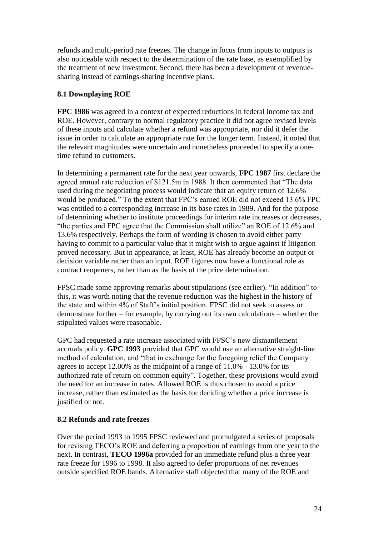refunds and multi-period rate freezes. The change in focus from inputs to outputs is also noticeable with respect to the determination of the rate base, as exemplified by the treatment of new investment. Second, there has been a development of revenuesharing instead of earnings-sharing incentive plans.

## **8.1 Downplaying ROE**

**FPC 1986** was agreed in a context of expected reductions in federal income tax and ROE. However, contrary to normal regulatory practice it did not agree revised levels of these inputs and calculate whether a refund was appropriate, nor did it defer the issue in order to calculate an appropriate rate for the longer term. Instead, it noted that the relevant magnitudes were uncertain and nonetheless proceeded to specify a onetime refund to customers.

In determining a permanent rate for the next year onwards, **FPC 1987** first declare the agreed annual rate reduction of \$121.5m in 1988. It then commented that "The data used during the negotiating process would indicate that an equity return of 12.6% would be produced." To the extent that FPC"s earned ROE did not exceed 13.6% FPC was entitled to a corresponding increase in its base rates in 1989. And for the purpose of determining whether to institute proceedings for interim rate increases or decreases, "the parties and FPC agree that the Commission shall utilize" an ROE of 12.6% and 13.6% respectively. Perhaps the form of wording is chosen to avoid either party having to commit to a particular value that it might wish to argue against if litigation proved necessary. But in appearance, at least, ROE has already become an output or decision variable rather than an input. ROE figures now have a functional role as contract reopeners, rather than as the basis of the price determination.

FPSC made some approving remarks about stipulations (see earlier). "In addition" to this, it was worth noting that the revenue reduction was the highest in the history of the state and within 4% of Staff"s initial position. FPSC did not seek to assess or demonstrate further – for example, by carrying out its own calculations – whether the stipulated values were reasonable.

GPC had requested a rate increase associated with FPSC"s new dismantlement accruals policy. **GPC 1993** provided that GPC would use an alternative straight-line method of calculation, and "that in exchange for the foregoing relief the Company agrees to accept 12.00% as the midpoint of a range of 11.0% - 13.0% for its authorized rate of return on common equity". Together, these provisions would avoid the need for an increase in rates. Allowed ROE is thus chosen to avoid a price increase, rather than estimated as the basis for deciding whether a price increase is justified or not.

## **8.2 Refunds and rate freezes**

Over the period 1993 to 1995 FPSC reviewed and promulgated a series of proposals for revising TECO"s ROE and deferring a proportion of earnings from one year to the next. In contrast, **TECO 1996a** provided for an immediate refund plus a three year rate freeze for 1996 to 1998. It also agreed to defer proportions of net revenues outside specified ROE bands. Alternative staff objected that many of the ROE and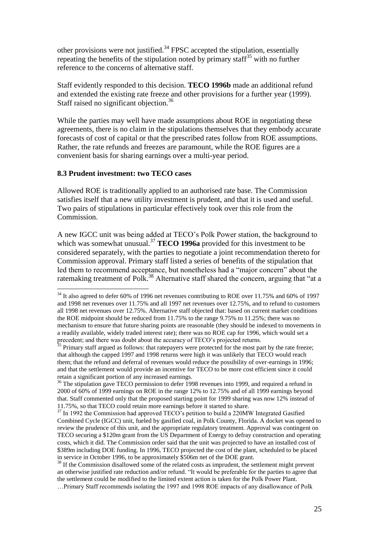other provisions were not justified.<sup>34</sup> FPSC accepted the stipulation, essentially repeating the benefits of the stipulation noted by primary staff<sup>35</sup> with no further reference to the concerns of alternative staff.

Staff evidently responded to this decision. **TECO 1996b** made an additional refund and extended the existing rate freeze and other provisions for a further year (1999). Staff raised no significant objection.<sup>36</sup>

While the parties may well have made assumptions about ROE in negotiating these agreements, there is no claim in the stipulations themselves that they embody accurate forecasts of cost of capital or that the prescribed rates follow from ROE assumptions. Rather, the rate refunds and freezes are paramount, while the ROE figures are a convenient basis for sharing earnings over a multi-year period.

#### **8.3 Prudent investment: two TECO cases**

<u>.</u>

Allowed ROE is traditionally applied to an authorised rate base. The Commission satisfies itself that a new utility investment is prudent, and that it is used and useful. Two pairs of stipulations in particular effectively took over this role from the Commission.

A new IGCC unit was being added at TECO"s Polk Power station, the background to which was somewhat unusual.<sup>37</sup> **TECO 1996a** provided for this investment to be considered separately, with the parties to negotiate a joint recommendation thereto for Commission approval. Primary staff listed a series of benefits of the stipulation that led them to recommend acceptance, but nonetheless had a "major concern" about the ratemaking treatment of Polk.<sup>38</sup> Alternative staff shared the concern, arguing that "at a

 $34$  It also agreed to defer 60% of 1996 net revenues contributing to ROE over 11.75% and 60% of 1997 and 1998 net revenues over 11.75% and all 1997 net revenues over 12.75%, and to refund to customers all 1998 net revenues over 12.75%. Alternative staff objected that: based on current market conditions the ROE midpoint should be reduced from 11.75% to the range 9.75% to 11.25%; there was no mechanism to ensure that future sharing points are reasonable (they should be indexed to movements in a readily available, widely traded interest rate); there was no ROE cap for 1996, which would set a precedent; and there was doubt about the accuracy of TECO"s projected returns.

 $35$  Primary staff argued as follows: that ratepayers were protected for the most part by the rate freeze; that although the capped 1997 and 1998 returns were high it was unlikely that TECO would reach them; that the refund and deferral of revenues would reduce the possibility of over-earnings in 1996; and that the settlement would provide an incentive for TECO to be more cost efficient since it could retain a significant portion of any increased earnings.

<sup>&</sup>lt;sup>36</sup> The stipulation gave TECO permission to defer 1998 revenues into 1999, and required a refund in 2000 of 60% of 1999 earnings on ROE in the range 12% to 12.75% and of all 1999 earnings beyond that. Staff commented only that the proposed starting point for 1999 sharing was now 12% instead of 11.75%, so that TECO could retain more earnings before it started to share.

<sup>&</sup>lt;sup>37</sup> In 1992 the Commission had approved TECO's petition to build a 220MW Integrated Gasified Combined Cycle (IGCC) unit, fueled by gasified coal, in Polk County, Florida. A docket was opened to review the prudence of this unit, and the appropriate regulatory treatment. Approval was contingent on TECO securing a \$120m grant from the US Department of Energy to defray construction and operating costs, which it did. The Commission order said that the unit was projected to have an installed cost of \$389m including DOE funding. In 1996, TECO projected the cost of the plant, scheduled to be placed in service in October 1996, to be approximately \$506m net of the DOE grant.

<sup>&</sup>lt;sup>38</sup> If the Commission disallowed some of the related costs as imprudent, the settlement might prevent an otherwise justified rate reduction and/or refund. "It would be preferable for the parties to agree that the settlement could be modified to the limited extent action is taken for the Polk Power Plant. …Primary Staff recommends isolating the 1997 and 1998 ROE impacts of any disallowance of Polk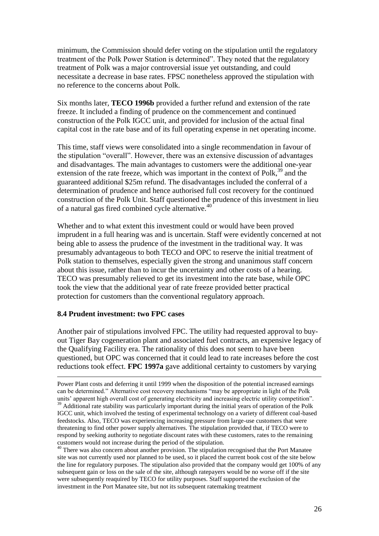minimum, the Commission should defer voting on the stipulation until the regulatory treatment of the Polk Power Station is determined". They noted that the regulatory treatment of Polk was a major controversial issue yet outstanding, and could necessitate a decrease in base rates. FPSC nonetheless approved the stipulation with no reference to the concerns about Polk.

Six months later, **TECO 1996b** provided a further refund and extension of the rate freeze. It included a finding of prudence on the commencement and continued construction of the Polk IGCC unit, and provided for inclusion of the actual final capital cost in the rate base and of its full operating expense in net operating income.

This time, staff views were consolidated into a single recommendation in favour of the stipulation "overall". However, there was an extensive discussion of advantages and disadvantages. The main advantages to customers were the additional one-year extension of the rate freeze, which was important in the context of Polk,<sup>39</sup> and the guaranteed additional \$25m refund. The disadvantages included the conferral of a determination of prudence and hence authorised full cost recovery for the continued construction of the Polk Unit. Staff questioned the prudence of this investment in lieu of a natural gas fired combined cycle alternative.<sup>40</sup>

Whether and to what extent this investment could or would have been proved imprudent in a full hearing was and is uncertain. Staff were evidently concerned at not being able to assess the prudence of the investment in the traditional way. It was presumably advantageous to both TECO and OPC to reserve the initial treatment of Polk station to themselves, especially given the strong and unanimous staff concern about this issue, rather than to incur the uncertainty and other costs of a hearing. TECO was presumably relieved to get its investment into the rate base, while OPC took the view that the additional year of rate freeze provided better practical protection for customers than the conventional regulatory approach.

## **8.4 Prudent investment: two FPC cases**

<u>.</u>

Another pair of stipulations involved FPC. The utility had requested approval to buyout Tiger Bay cogeneration plant and associated fuel contracts, an expensive legacy of the Qualifying Facility era. The rationality of this does not seem to have been questioned, but OPC was concerned that it could lead to rate increases before the cost reductions took effect. **FPC 1997a** gave additional certainty to customers by varying

Power Plant costs and deferring it until 1999 when the disposition of the potential increased earnings can be determined." Alternative cost recovery mechanisms "may be appropriate in light of the Polk units" apparent high overall cost of generating electricity and increasing electric utility competition".  $39$  Additional rate stability was particularly important during the initial years of operation of the Polk IGCC unit, which involved the testing of experimental technology on a variety of different coal-based

feedstocks. Also, TECO was experiencing increasing pressure from large-use customers that were threatening to find other power supply alternatives. The stipulation provided that, if TECO were to respond by seeking authority to negotiate discount rates with these customers, rates to the remaining customers would not increase during the period of the stipulation.

<sup>40</sup> There was also concern about another provision. The stipulation recognised that the Port Manatee site was not currently used nor planned to be used, so it placed the current book cost of the site below the line for regulatory purposes. The stipulation also provided that the company would get 100% of any subsequent gain or loss on the sale of the site, although ratepayers would be no worse off if the site were subsequently reaquired by TECO for utility purposes. Staff supported the exclusion of the investment in the Port Manatee site, but not its subsequent ratemaking treatment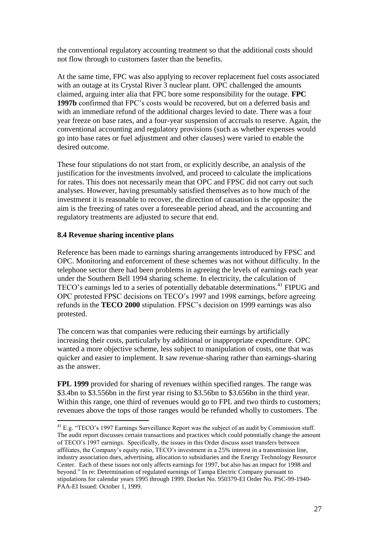the conventional regulatory accounting treatment so that the additional costs should not flow through to customers faster than the benefits.

At the same time, FPC was also applying to recover replacement fuel costs associated with an outage at its Crystal River 3 nuclear plant. OPC challenged the amounts claimed, arguing inter alia that FPC bore some responsibility for the outage. **FPC 1997b** confirmed that FPC"s costs would be recovered, but on a deferred basis and with an immediate refund of the additional charges levied to date. There was a four year freeze on base rates, and a four-year suspension of accruals to reserve. Again, the conventional accounting and regulatory provisions (such as whether expenses would go into base rates or fuel adjustment and other clauses) were varied to enable the desired outcome.

These four stipulations do not start from, or explicitly describe, an analysis of the justification for the investments involved, and proceed to calculate the implications for rates. This does not necessarily mean that OPC and FPSC did not carry out such analyses. However, having presumably satisfied themselves as to how much of the investment it is reasonable to recover, the direction of causation is the opposite: the aim is the freezing of rates over a foreseeable period ahead, and the accounting and regulatory treatments are adjusted to secure that end.

## **8.4 Revenue sharing incentive plans**

<u>.</u>

Reference has been made to earnings sharing arrangements introduced by FPSC and OPC. Monitoring and enforcement of these schemes was not without difficulty. In the telephone sector there had been problems in agreeing the levels of earnings each year under the Southern Bell 1994 sharing scheme. In electricity, the calculation of TECO's earnings led to a series of potentially debatable determinations.<sup>41</sup> FIPUG and OPC protested FPSC decisions on TECO"s 1997 and 1998 earnings, before agreeing refunds in the **TECO 2000** stipulation. FPSC"s decision on 1999 earnings was also protested.

The concern was that companies were reducing their earnings by artificially increasing their costs, particularly by additional or inappropriate expenditure. OPC wanted a more objective scheme, less subject to manipulation of costs, one that was quicker and easier to implement. It saw revenue-sharing rather than earnings-sharing as the answer.

**FPL 1999** provided for sharing of revenues within specified ranges. The range was \$3.4bn to \$3.556bn in the first year rising to \$3.56bn to \$3.656bn in the third year. Within this range, one third of revenues would go to FPL and two thirds to customers; revenues above the tops of those ranges would be refunded wholly to customers. The

<sup>&</sup>lt;sup>41</sup> E.g. "TECO's 1997 Earnings Surveillance Report was the subject of an audit by Commission staff. The audit report discusses certain transactions and practices which could potentially change the amount of TECO"s 1997 earnings. Specifically, the issues in this Order discuss asset transfers between affiliates, the Company"s equity ratio, TECO"s investment in a 25% interest in a transmission line, industry association dues, advertising, allocation to subsidiaries and the Energy Technology Resource Center. Each of these issues not only affects earnings for 1997, but also has an impact for 1998 and beyond." In re: Determination of regulated earnings of Tampa Electric Company pursuant to stipulations for calendar years 1995 through 1999. Docket No. 950379-EI Order No. PSC-99-1940- PAA-EI Issued: October 1, 1999.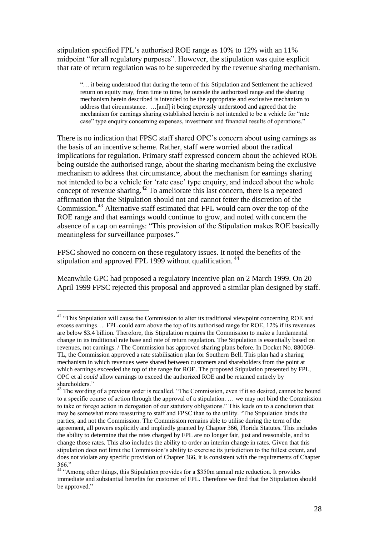stipulation specified FPL"s authorised ROE range as 10% to 12% with an 11% midpoint "for all regulatory purposes". However, the stipulation was quite explicit that rate of return regulation was to be superceded by the revenue sharing mechanism.

"… it being understood that during the term of this Stipulation and Settlement the achieved return on equity may, from time to time, be outside the authorized range and the sharing mechanism herein described is intended to be the appropriate and exclusive mechanism to address that circumstance. …[and] it being expressly understood and agreed that the mechanism for earnings sharing established herein is not intended to be a vehicle for "rate case" type enquiry concerning expenses, investment and financial results of operations."

There is no indication that FPSC staff shared OPC"s concern about using earnings as the basis of an incentive scheme. Rather, staff were worried about the radical implications for regulation. Primary staff expressed concern about the achieved ROE being outside the authorised range, about the sharing mechanism being the exclusive mechanism to address that circumstance, about the mechanism for earnings sharing not intended to be a vehicle for 'rate case' type enquiry, and indeed about the whole concept of revenue sharing.<sup>42</sup> To ameliorate this last concern, there is a repeated affirmation that the Stipulation should not and cannot fetter the discretion of the Commission.<sup>43</sup> Alternative staff estimated that FPL would earn over the top of the ROE range and that earnings would continue to grow, and noted with concern the absence of a cap on earnings: "This provision of the Stipulation makes ROE basically meaningless for surveillance purposes."

FPSC showed no concern on these regulatory issues. It noted the benefits of the stipulation and approved FPL 1999 without qualification.<sup>44</sup>

<u>.</u>

Meanwhile GPC had proposed a regulatory incentive plan on 2 March 1999. On 20 April 1999 FPSC rejected this proposal and approved a similar plan designed by staff.

 $42$  "This Stipulation will cause the Commission to alter its traditional viewpoint concerning ROE and excess earnings…. FPL could earn above the top of its authorised range for ROE, 12% if its revenues are below \$3.4 billion. Therefore, this Stipulation requires the Commission to make a fundamental change in its traditional rate base and rate of return regulation. The Stipulation is essentially based on revenues, not earnings. / The Commission has approved sharing plans before. In Docket No. 880069- TL, the Commission approved a rate stabilisation plan for Southern Bell. This plan had a sharing mechanism in which revenues were shared between customers and shareholders from the point at which earnings exceeded the top of the range for ROE. The proposed Stipulation presented by FPL, OPC et al *could* allow earnings to exceed the authorized ROE and be retained entirely by shareholders."

 $43$  The wording of a previous order is recalled. "The Commission, even if it so desired, cannot be bound to a specific course of action through the approval of a stipulation. … we may not bind the Commission to take or forego action in derogation of our statutory obligations." This leads on to a conclusion that may be somewhat more reassuring to staff and FPSC than to the utility. "The Stipulation binds the parties, and not the Commission. The Commission remains able to utilise during the term of the agreement, all powers explicitly and impliedly granted by Chapter 366, Florida Statutes. This includes the ability to determine that the rates charged by FPL are no longer fair, just and reasonable, and to change those rates. This also includes the ability to order an interim change in rates. Given that this stipulation does not limit the Commission"s ability to exercise its jurisdiction to the fullest extent, and does not violate any specific provision of Chapter 366, it is consistent with the requirements of Chapter 366."

<sup>&</sup>lt;sup>44</sup> "Among other things, this Stipulation provides for a \$350m annual rate reduction. It provides immediate and substantial benefits for customer of FPL. Therefore we find that the Stipulation should be approved."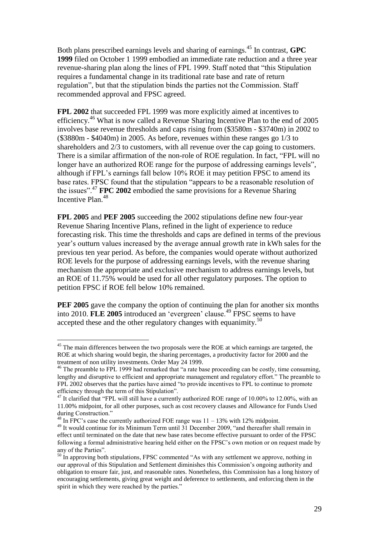Both plans prescribed earnings levels and sharing of earnings.<sup>45</sup> In contrast, **GPC 1999** filed on October 1 1999 embodied an immediate rate reduction and a three year revenue-sharing plan along the lines of FPL 1999. Staff noted that "this Stipulation requires a fundamental change in its traditional rate base and rate of return regulation", but that the stipulation binds the parties not the Commission. Staff recommended approval and FPSC agreed.

**FPL 2002** that succeeded FPL 1999 was more explicitly aimed at incentives to efficiency.<sup>46</sup> What is now called a Revenue Sharing Incentive Plan to the end of 2005 involves base revenue thresholds and caps rising from (\$3580m - \$3740m) in 2002 to (\$3880m - \$4040m) in 2005. As before, revenues within these ranges go 1/3 to shareholders and 2/3 to customers, with all revenue over the cap going to customers. There is a similar affirmation of the non-role of ROE regulation. In fact, "FPL will no longer have an authorized ROE range for the purpose of addressing earnings levels", although if FPL"s earnings fall below 10% ROE it may petition FPSC to amend its base rates. FPSC found that the stipulation "appears to be a reasonable resolution of the issues".<sup>47</sup> **FPC 2002** embodied the same provisions for a Revenue Sharing Incentive Plan  $48$ 

**FPL 2005** and **PEF 2005** succeeding the 2002 stipulations define new four-year Revenue Sharing Incentive Plans, refined in the light of experience to reduce forecasting risk. This time the thresholds and caps are defined in terms of the previous year"s outturn values increased by the average annual growth rate in kWh sales for the previous ten year period. As before, the companies would operate without authorized ROE levels for the purpose of addressing earnings levels, with the revenue sharing mechanism the appropriate and exclusive mechanism to address earnings levels, but an ROE of 11.75% would be used for all other regulatory purposes. The option to petition FPSC if ROE fell below 10% remained.

**PEF 2005** gave the company the option of continuing the plan for another six months into 2010. **FLE 2005** introduced an 'evergreen' clause.<sup>49</sup> FPSC seems to have accepted these and the other regulatory changes with equanimity.<sup>50</sup>

 $45$  The main differences between the two proposals were the ROE at which earnings are targeted, the ROE at which sharing would begin, the sharing percentages, a productivity factor for 2000 and the treatment of non utility investments. Order May 24 1999.

 $46$  The preamble to FPL 1999 had remarked that "a rate base proceeding can be costly, time consuming, lengthy and disruptive to efficient and appropriate management and regulatory effort." The preamble to FPL 2002 observes that the parties have aimed "to provide incentives to FPL to continue to promote efficiency through the term of this Stipulation".

<sup>&</sup>lt;sup>47</sup> It clarified that "FPL will still have a currently authorized ROE range of 10.00% to 12.00%, with an 11.00% midpoint, for all other purposes, such as cost recovery clauses and Allowance for Funds Used during Construction."

 $^{48}$  In FPC's case the currently authorized FOE range was  $11 - 13\%$  with 12% midpoint.

<sup>&</sup>lt;sup>49</sup> It would continue for its Minimum Term until 31 December 2009, "and thereafter shall remain in effect until terminated on the date that new base rates become effective pursuant to order of the FPSC following a formal administrative hearing held either on the FPSC"s own motion or on request made by any of the Parties".

 $50$  In approving both stipulations, FPSC commented "As with any settlement we approve, nothing in our approval of this Stipulation and Settlement diminishes this Commission"s ongoing authority and obligation to ensure fair, just, and reasonable rates. Nonetheless, this Commission has a long history of encouraging settlements, giving great weight and deference to settlements, and enforcing them in the spirit in which they were reached by the parties."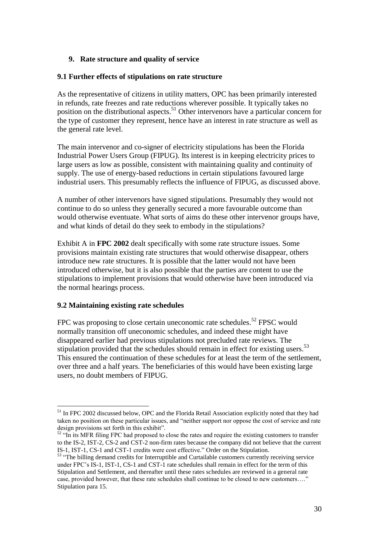## **9. Rate structure and quality of service**

## **9.1 Further effects of stipulations on rate structure**

As the representative of citizens in utility matters, OPC has been primarily interested in refunds, rate freezes and rate reductions wherever possible. It typically takes no position on the distributional aspects. <sup>51</sup> Other intervenors have a particular concern for the type of customer they represent, hence have an interest in rate structure as well as the general rate level.

The main intervenor and co-signer of electricity stipulations has been the Florida Industrial Power Users Group (FIPUG). Its interest is in keeping electricity prices to large users as low as possible, consistent with maintaining quality and continuity of supply. The use of energy-based reductions in certain stipulations favoured large industrial users. This presumably reflects the influence of FIPUG, as discussed above.

A number of other intervenors have signed stipulations. Presumably they would not continue to do so unless they generally secured a more favourable outcome than would otherwise eventuate. What sorts of aims do these other intervenor groups have, and what kinds of detail do they seek to embody in the stipulations?

Exhibit A in **FPC 2002** dealt specifically with some rate structure issues. Some provisions maintain existing rate structures that would otherwise disappear, others introduce new rate structures. It is possible that the latter would not have been introduced otherwise, but it is also possible that the parties are content to use the stipulations to implement provisions that would otherwise have been introduced via the normal hearings process.

## **9.2 Maintaining existing rate schedules**

<u>.</u>

FPC was proposing to close certain uneconomic rate schedules.<sup>52</sup> FPSC would normally transition off uneconomic schedules, and indeed these might have disappeared earlier had previous stipulations not precluded rate reviews. The stipulation provided that the schedules should remain in effect for existing users.<sup>53</sup> This ensured the continuation of these schedules for at least the term of the settlement, over three and a half years. The beneficiaries of this would have been existing large users, no doubt members of FIPUG.

<sup>&</sup>lt;sup>51</sup> In FPC 2002 discussed below, OPC and the Florida Retail Association explicitly noted that they had taken no position on these particular issues, and "neither support nor oppose the cost of service and rate design provisions set forth in this exhibit".

<sup>&</sup>lt;sup>52</sup> "In its MFR filing FPC had proposed to close the rates and require the existing customers to transfer to the IS-2, IST-2, CS-2 and CST-2 non-firm rates because the company did not believe that the current IS-1, IST-1, CS-1 and CST-1 credits were cost effective." Order on the Stipulation.

<sup>&</sup>lt;sup>53</sup> "The billing demand credits for Interruptible and Curtailable customers currently receiving service under FPC"s IS-1, IST-1, CS-1 and CST-1 rate schedules shall remain in effect for the term of this Stipulation and Settlement, and thereafter until these rates schedules are reviewed in a general rate case, provided however, that these rate schedules shall continue to be closed to new customers…." Stipulation para 15.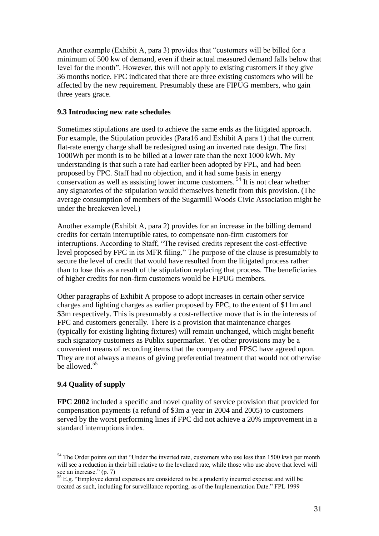Another example (Exhibit A, para 3) provides that "customers will be billed for a minimum of 500 kw of demand, even if their actual measured demand falls below that level for the month". However, this will not apply to existing customers if they give 36 months notice. FPC indicated that there are three existing customers who will be affected by the new requirement. Presumably these are FIPUG members, who gain three years grace.

## **9.3 Introducing new rate schedules**

Sometimes stipulations are used to achieve the same ends as the litigated approach. For example, the Stipulation provides (Para16 and Exhibit A para 1) that the current flat-rate energy charge shall be redesigned using an inverted rate design. The first 1000Wh per month is to be billed at a lower rate than the next 1000 kWh. My understanding is that such a rate had earlier been adopted by FPL, and had been proposed by FPC. Staff had no objection, and it had some basis in energy conservation as well as assisting lower income customers.<sup>54</sup> It is not clear whether any signatories of the stipulation would themselves benefit from this provision. (The average consumption of members of the Sugarmill Woods Civic Association might be under the breakeven level.)

Another example (Exhibit A, para 2) provides for an increase in the billing demand credits for certain interruptible rates, to compensate non-firm customers for interruptions. According to Staff, "The revised credits represent the cost-effective level proposed by FPC in its MFR filing." The purpose of the clause is presumably to secure the level of credit that would have resulted from the litigated process rather than to lose this as a result of the stipulation replacing that process. The beneficiaries of higher credits for non-firm customers would be FIPUG members.

Other paragraphs of Exhibit A propose to adopt increases in certain other service charges and lighting charges as earlier proposed by FPC, to the extent of \$11m and \$3m respectively. This is presumably a cost-reflective move that is in the interests of FPC and customers generally. There is a provision that maintenance charges (typically for existing lighting fixtures) will remain unchanged, which might benefit such signatory customers as Publix supermarket. Yet other provisions may be a convenient means of recording items that the company and FPSC have agreed upon. They are not always a means of giving preferential treatment that would not otherwise be allowed.<sup>55</sup>

# **9.4 Quality of supply**

**FPC 2002** included a specific and novel quality of service provision that provided for compensation payments (a refund of \$3m a year in 2004 and 2005) to customers served by the worst performing lines if FPC did not achieve a 20% improvement in a standard interruptions index.

<sup>&</sup>lt;u>.</u> <sup>54</sup> The Order points out that "Under the inverted rate, customers who use less than 1500 kwh per month will see a reduction in their bill relative to the levelized rate, while those who use above that level will see an increase." (p. 7)

 $55$  E.g. "Employee dental expenses are considered to be a prudently incurred expense and will be treated as such, including for surveillance reporting, as of the Implementation Date." FPL 1999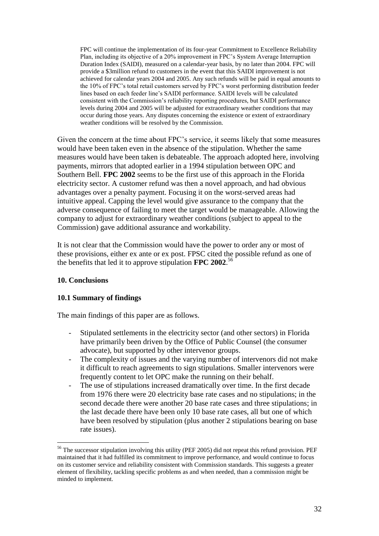FPC will continue the implementation of its four-year Commitment to Excellence Reliability Plan, including its objective of a 20% improvement in FPC"s System Average Interruption Duration Index (SAIDI), measured on a calendar-year basis, by no later than 2004. FPC will provide a \$3million refund to customers in the event that this SAIDI improvement is not achieved for calendar years 2004 and 2005. Any such refunds will be paid in equal amounts to the 10% of FPC"s total retail customers served by FPC"s worst performing distribution feeder lines based on each feeder line"s SAIDI performance. SAIDI levels will be calculated consistent with the Commission"s reliability reporting procedures, but SAIDI performance levels during 2004 and 2005 will be adjusted for extraordinary weather conditions that may occur during those years. Any disputes concerning the existence or extent of extraordinary weather conditions will be resolved by the Commission.

Given the concern at the time about FPC"s service, it seems likely that some measures would have been taken even in the absence of the stipulation. Whether the same measures would have been taken is debateable. The approach adopted here, involving payments, mirrors that adopted earlier in a 1994 stipulation between OPC and Southern Bell. **FPC 2002** seems to be the first use of this approach in the Florida electricity sector. A customer refund was then a novel approach, and had obvious advantages over a penalty payment. Focusing it on the worst-served areas had intuitive appeal. Capping the level would give assurance to the company that the adverse consequence of failing to meet the target would be manageable. Allowing the company to adjust for extraordinary weather conditions (subject to appeal to the Commission) gave additional assurance and workability.

It is not clear that the Commission would have the power to order any or most of these provisions, either ex ante or ex post. FPSC cited the possible refund as one of the benefits that led it to approve stipulation **FPC 2002**. 56

## **10. Conclusions**

1

## **10.1 Summary of findings**

The main findings of this paper are as follows.

- Stipulated settlements in the electricity sector (and other sectors) in Florida have primarily been driven by the Office of Public Counsel (the consumer advocate), but supported by other intervenor groups.
- The complexity of issues and the varying number of intervenors did not make it difficult to reach agreements to sign stipulations. Smaller intervenors were frequently content to let OPC make the running on their behalf.
- The use of stipulations increased dramatically over time. In the first decade from 1976 there were 20 electricity base rate cases and no stipulations; in the second decade there were another 20 base rate cases and three stipulations; in the last decade there have been only 10 base rate cases, all but one of which have been resolved by stipulation (plus another 2 stipulations bearing on base rate issues).

<sup>&</sup>lt;sup>56</sup> The successor stipulation involving this utility (PEF 2005) did not repeat this refund provision. PEF maintained that it had fulfilled its commitment to improve performance, and would continue to focus on its customer service and reliability consistent with Commission standards. This suggests a greater element of flexibility, tackling specific problems as and when needed, than a commission might be minded to implement.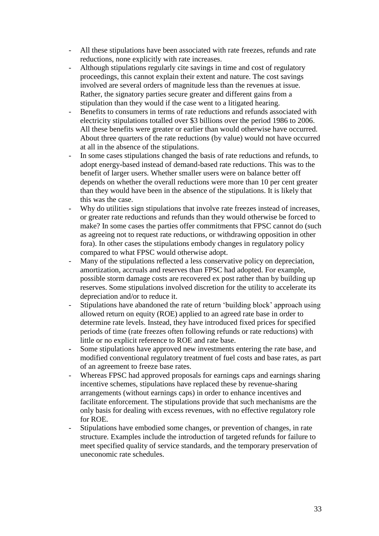- All these stipulations have been associated with rate freezes, refunds and rate reductions, none explicitly with rate increases.
- Although stipulations regularly cite savings in time and cost of regulatory proceedings, this cannot explain their extent and nature. The cost savings involved are several orders of magnitude less than the revenues at issue. Rather, the signatory parties secure greater and different gains from a stipulation than they would if the case went to a litigated hearing.
- Benefits to consumers in terms of rate reductions and refunds associated with electricity stipulations totalled over \$3 billions over the period 1986 to 2006. All these benefits were greater or earlier than would otherwise have occurred. About three quarters of the rate reductions (by value) would not have occurred at all in the absence of the stipulations.
- In some cases stipulations changed the basis of rate reductions and refunds, to adopt energy-based instead of demand-based rate reductions. This was to the benefit of larger users. Whether smaller users were on balance better off depends on whether the overall reductions were more than 10 per cent greater than they would have been in the absence of the stipulations. It is likely that this was the case.
- Why do utilities sign stipulations that involve rate freezes instead of increases, or greater rate reductions and refunds than they would otherwise be forced to make? In some cases the parties offer commitments that FPSC cannot do (such as agreeing not to request rate reductions, or withdrawing opposition in other fora). In other cases the stipulations embody changes in regulatory policy compared to what FPSC would otherwise adopt.
- Many of the stipulations reflected a less conservative policy on depreciation, amortization, accruals and reserves than FPSC had adopted. For example, possible storm damage costs are recovered ex post rather than by building up reserves. Some stipulations involved discretion for the utility to accelerate its depreciation and/or to reduce it.
- Stipulations have abandoned the rate of return "building block" approach using allowed return on equity (ROE) applied to an agreed rate base in order to determine rate levels. Instead, they have introduced fixed prices for specified periods of time (rate freezes often following refunds or rate reductions) with little or no explicit reference to ROE and rate base.
- Some stipulations have approved new investments entering the rate base, and modified conventional regulatory treatment of fuel costs and base rates, as part of an agreement to freeze base rates.
- Whereas FPSC had approved proposals for earnings caps and earnings sharing incentive schemes, stipulations have replaced these by revenue-sharing arrangements (without earnings caps) in order to enhance incentives and facilitate enforcement. The stipulations provide that such mechanisms are the only basis for dealing with excess revenues, with no effective regulatory role for ROE.
- Stipulations have embodied some changes, or prevention of changes, in rate structure. Examples include the introduction of targeted refunds for failure to meet specified quality of service standards, and the temporary preservation of uneconomic rate schedules.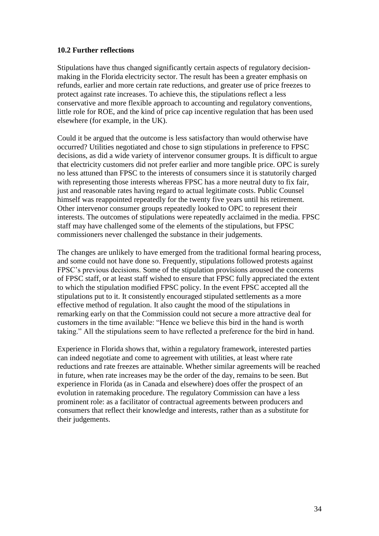## **10.2 Further reflections**

Stipulations have thus changed significantly certain aspects of regulatory decisionmaking in the Florida electricity sector. The result has been a greater emphasis on refunds, earlier and more certain rate reductions, and greater use of price freezes to protect against rate increases. To achieve this, the stipulations reflect a less conservative and more flexible approach to accounting and regulatory conventions, little role for ROE, and the kind of price cap incentive regulation that has been used elsewhere (for example, in the UK).

Could it be argued that the outcome is less satisfactory than would otherwise have occurred? Utilities negotiated and chose to sign stipulations in preference to FPSC decisions, as did a wide variety of intervenor consumer groups. It is difficult to argue that electricity customers did not prefer earlier and more tangible price. OPC is surely no less attuned than FPSC to the interests of consumers since it is statutorily charged with representing those interests whereas FPSC has a more neutral duty to fix fair, just and reasonable rates having regard to actual legitimate costs. Public Counsel himself was reappointed repeatedly for the twenty five years until his retirement. Other intervenor consumer groups repeatedly looked to OPC to represent their interests. The outcomes of stipulations were repeatedly acclaimed in the media. FPSC staff may have challenged some of the elements of the stipulations, but FPSC commissioners never challenged the substance in their judgements.

The changes are unlikely to have emerged from the traditional formal hearing process, and some could not have done so. Frequently, stipulations followed protests against FPSC"s previous decisions. Some of the stipulation provisions aroused the concerns of FPSC staff, or at least staff wished to ensure that FPSC fully appreciated the extent to which the stipulation modified FPSC policy. In the event FPSC accepted all the stipulations put to it. It consistently encouraged stipulated settlements as a more effective method of regulation. It also caught the mood of the stipulations in remarking early on that the Commission could not secure a more attractive deal for customers in the time available: "Hence we believe this bird in the hand is worth taking." All the stipulations seem to have reflected a preference for the bird in hand.

Experience in Florida shows that, within a regulatory framework, interested parties can indeed negotiate and come to agreement with utilities, at least where rate reductions and rate freezes are attainable. Whether similar agreements will be reached in future, when rate increases may be the order of the day, remains to be seen. But experience in Florida (as in Canada and elsewhere) does offer the prospect of an evolution in ratemaking procedure. The regulatory Commission can have a less prominent role: as a facilitator of contractual agreements between producers and consumers that reflect their knowledge and interests, rather than as a substitute for their judgements.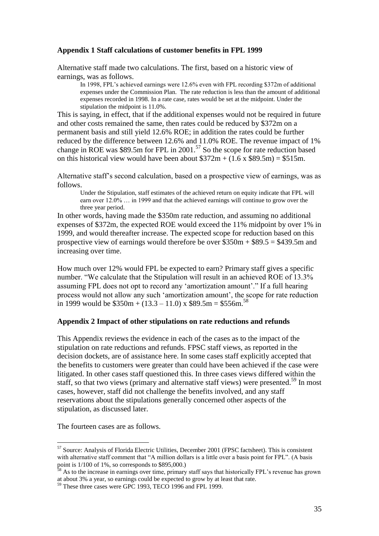## **Appendix 1 Staff calculations of customer benefits in FPL 1999**

Alternative staff made two calculations. The first, based on a historic view of earnings, was as follows.

In 1998, FPL's achieved earnings were 12.6% even with FPL recording \$372m of additional expenses under the Commission Plan. The rate reduction is less than the amount of additional expenses recorded in 1998. In a rate case, rates would be set at the midpoint. Under the stipulation the midpoint is 11.0%.

This is saying, in effect, that if the additional expenses would not be required in future and other costs remained the same, then rates could be reduced by \$372m on a permanent basis and still yield 12.6% ROE; in addition the rates could be further reduced by the difference between 12.6% and 11.0% ROE. The revenue impact of 1% change in ROE was \$89.5m for FPL in 2001.<sup>57</sup> So the scope for rate reduction based on this historical view would have been about  $$372m + (1.6 \times $89.5m) = $515m$ .

Alternative staff"s second calculation, based on a prospective view of earnings, was as follows.

Under the Stipulation, staff estimates of the achieved return on equity indicate that FPL will earn over 12.0% … in 1999 and that the achieved earnings will continue to grow over the three year period.

In other words, having made the \$350m rate reduction, and assuming no additional expenses of \$372m, the expected ROE would exceed the 11% midpoint by over 1% in 1999, and would thereafter increase. The expected scope for reduction based on this prospective view of earnings would therefore be over  $\overline{$}350m + $89.5 = $439.5m$  and increasing over time.

How much over 12% would FPL be expected to earn? Primary staff gives a specific number. "We calculate that the Stipulation will result in an achieved ROE of 13.3% assuming FPL does not opt to record any "amortization amount"." If a full hearing process would not allow any such "amortization amount", the scope for rate reduction in 1999 would be  $\$350m + (13.3 - 11.0) \times \$89.5m = \$556m.$ <sup>58</sup>

## **Appendix 2 Impact of other stipulations on rate reductions and refunds**

This Appendix reviews the evidence in each of the cases as to the impact of the stipulation on rate reductions and refunds. FPSC staff views, as reported in the decision dockets, are of assistance here. In some cases staff explicitly accepted that the benefits to customers were greater than could have been achieved if the case were litigated. In other cases staff questioned this. In three cases views differed within the staff, so that two views (primary and alternative staff views) were presented.<sup>59</sup> In most cases, however, staff did not challenge the benefits involved, and any staff reservations about the stipulations generally concerned other aspects of the stipulation, as discussed later.

The fourteen cases are as follows.

<sup>57</sup> Source: Analysis of Florida Electric Utilities, December 2001 (FPSC factsheet). This is consistent with alternative staff comment that "A million dollars is a little over a basis point for FPL". (A basis point is  $1/100$  of 1%, so corresponds to \$895,000.)

 $\frac{3}{8}$  As to the increase in earnings over time, primary staff says that historically FPL's revenue has grown at about 3% a year, so earnings could be expected to grow by at least that rate.

<sup>&</sup>lt;sup>59</sup> These three cases were GPC 1993, TECO 1996 and FPL 1999.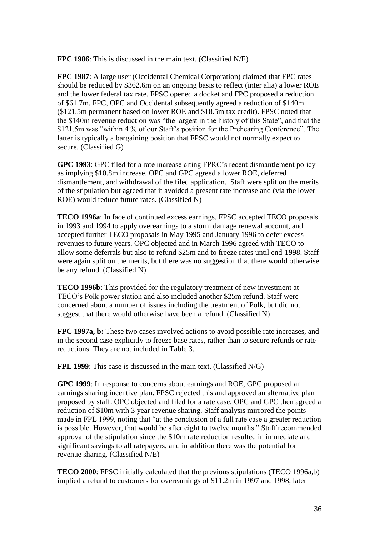**FPC 1986**: This is discussed in the main text. (Classified N/E)

**FPC 1987**: A large user (Occidental Chemical Corporation) claimed that FPC rates should be reduced by \$362.6m on an ongoing basis to reflect (inter alia) a lower ROE and the lower federal tax rate. FPSC opened a docket and FPC proposed a reduction of \$61.7m. FPC, OPC and Occidental subsequently agreed a reduction of \$140m (\$121.5m permanent based on lower ROE and \$18.5m tax credit). FPSC noted that the \$140m revenue reduction was "the largest in the history of this State", and that the \$121.5m was "within 4 % of our Staff"s position for the Prehearing Conference". The latter is typically a bargaining position that FPSC would not normally expect to secure. (Classified G)

**GPC 1993**: GPC filed for a rate increase citing FPRC"s recent dismantlement policy as implying \$10.8m increase. OPC and GPC agreed a lower ROE, deferred dismantlement, and withdrawal of the filed application. Staff were split on the merits of the stipulation but agreed that it avoided a present rate increase and (via the lower ROE) would reduce future rates. (Classified N)

**TECO 1996a**: In face of continued excess earnings, FPSC accepted TECO proposals in 1993 and 1994 to apply overearnings to a storm damage renewal account, and accepted further TECO proposals in May 1995 and January 1996 to defer excess revenues to future years. OPC objected and in March 1996 agreed with TECO to allow some deferrals but also to refund \$25m and to freeze rates until end-1998. Staff were again split on the merits, but there was no suggestion that there would otherwise be any refund. (Classified N)

**TECO 1996b**: This provided for the regulatory treatment of new investment at TECO"s Polk power station and also included another \$25m refund. Staff were concerned about a number of issues including the treatment of Polk, but did not suggest that there would otherwise have been a refund. (Classified N)

**FPC 1997a, b:** These two cases involved actions to avoid possible rate increases, and in the second case explicitly to freeze base rates, rather than to secure refunds or rate reductions. They are not included in Table 3.

**FPL 1999**: This case is discussed in the main text. (Classified N/G)

**GPC 1999**: In response to concerns about earnings and ROE, GPC proposed an earnings sharing incentive plan. FPSC rejected this and approved an alternative plan proposed by staff. OPC objected and filed for a rate case. OPC and GPC then agreed a reduction of \$10m with 3 year revenue sharing. Staff analysis mirrored the points made in FPL 1999, noting that "at the conclusion of a full rate case a greater reduction is possible. However, that would be after eight to twelve months." Staff recommended approval of the stipulation since the \$10m rate reduction resulted in immediate and significant savings to all ratepayers, and in addition there was the potential for revenue sharing. (Classified N/E)

**TECO 2000**: FPSC initially calculated that the previous stipulations (TECO 1996a,b) implied a refund to customers for overearnings of \$11.2m in 1997 and 1998, later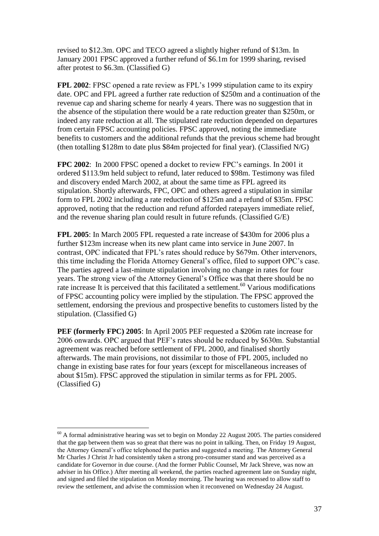revised to \$12.3m. OPC and TECO agreed a slightly higher refund of \$13m. In January 2001 FPSC approved a further refund of \$6.1m for 1999 sharing, revised after protest to \$6.3m. (Classified G)

**FPL 2002**: FPSC opened a rate review as FPL's 1999 stipulation came to its expiry date. OPC and FPL agreed a further rate reduction of \$250m and a continuation of the revenue cap and sharing scheme for nearly 4 years. There was no suggestion that in the absence of the stipulation there would be a rate reduction greater than \$250m, or indeed any rate reduction at all. The stipulated rate reduction depended on departures from certain FPSC accounting policies. FPSC approved, noting the immediate benefits to customers and the additional refunds that the previous scheme had brought (then totalling \$128m to date plus \$84m projected for final year). (Classified N/G)

**FPC 2002**: In 2000 FPSC opened a docket to review FPC"s earnings. In 2001 it ordered \$113.9m held subject to refund, later reduced to \$98m. Testimony was filed and discovery ended March 2002, at about the same time as FPL agreed its stipulation. Shortly afterwards, FPC, OPC and others agreed a stipulation in similar form to FPL 2002 including a rate reduction of \$125m and a refund of \$35m. FPSC approved, noting that the reduction and refund afforded ratepayers immediate relief, and the revenue sharing plan could result in future refunds. (Classified G/E)

**FPL 2005**: In March 2005 FPL requested a rate increase of \$430m for 2006 plus a further \$123m increase when its new plant came into service in June 2007. In contrast, OPC indicated that FPL"s rates should reduce by \$679m. Other intervenors, this time including the Florida Attorney General"s office, filed to support OPC"s case. The parties agreed a last-minute stipulation involving no change in rates for four years. The strong view of the Attorney General"s Office was that there should be no rate increase It is perceived that this facilitated a settlement.<sup>60</sup> Various modifications of FPSC accounting policy were implied by the stipulation. The FPSC approved the settlement, endorsing the previous and prospective benefits to customers listed by the stipulation. (Classified G)

**PEF (formerly FPC) 2005**: In April 2005 PEF requested a \$206m rate increase for 2006 onwards. OPC argued that PEF"s rates should be reduced by \$630m. Substantial agreement was reached before settlement of FPL 2000, and finalised shortly afterwards. The main provisions, not dissimilar to those of FPL 2005, included no change in existing base rates for four years (except for miscellaneous increases of about \$15m). FPSC approved the stipulation in similar terms as for FPL 2005. (Classified G)

 $60$  A formal administrative hearing was set to begin on Monday 22 August 2005. The parties considered that the gap between them was so great that there was no point in talking. Then, on Friday 19 August, the Attorney General"s office telephoned the parties and suggested a meeting. The Attorney General Mr Charles J Christ Jr had consistently taken a strong pro-consumer stand and was perceived as a candidate for Governor in due course. (And the former Public Counsel, Mr Jack Shreve, was now an adviser in his Office.) After meeting all weekend, the parties reached agreement late on Sunday night, and signed and filed the stipulation on Monday morning. The hearing was recessed to allow staff to review the settlement, and advise the commission when it reconvened on Wednesday 24 August.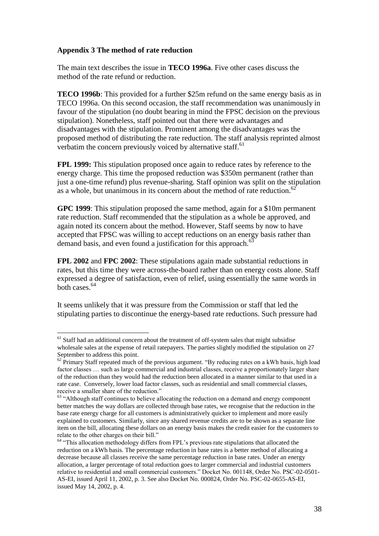## **Appendix 3 The method of rate reduction**

<u>.</u>

The main text describes the issue in **TECO 1996a**. Five other cases discuss the method of the rate refund or reduction.

**TECO 1996b**: This provided for a further \$25m refund on the same energy basis as in TECO 1996a. On this second occasion, the staff recommendation was unanimously in favour of the stipulation (no doubt bearing in mind the FPSC decision on the previous stipulation). Nonetheless, staff pointed out that there were advantages and disadvantages with the stipulation. Prominent among the disadvantages was the proposed method of distributing the rate reduction. The staff analysis reprinted almost verbatim the concern previously voiced by alternative staff.<sup>61</sup>

**FPL 1999:** This stipulation proposed once again to reduce rates by reference to the energy charge. This time the proposed reduction was \$350m permanent (rather than just a one-time refund) plus revenue-sharing. Staff opinion was split on the stipulation as a whole, but unanimous in its concern about the method of rate reduction.<sup>62</sup>

**GPC 1999**: This stipulation proposed the same method, again for a \$10m permanent rate reduction. Staff recommended that the stipulation as a whole be approved, and again noted its concern about the method. However, Staff seems by now to have accepted that FPSC was willing to accept reductions on an energy basis rather than demand basis, and even found a justification for this approach.<sup>6</sup>

**FPL 2002** and **FPC 2002**: These stipulations again made substantial reductions in rates, but this time they were across-the-board rather than on energy costs alone. Staff expressed a degree of satisfaction, even of relief, using essentially the same words in both cases.<sup>64</sup>

It seems unlikely that it was pressure from the Commission or staff that led the stipulating parties to discontinue the energy-based rate reductions. Such pressure had

 $61$  Staff had an additional concern about the treatment of off-system sales that might subsidise wholesale sales at the expense of retail ratepayers. The parties slightly modified the stipulation on 27 September to address this point.

 $62$  Primary Staff repeated much of the previous argument. "By reducing rates on a kWh basis, high load factor classes … such as large commercial and industrial classes, receive a proportionately larger share of the reduction than they would had the reduction been allocated in a manner similar to that used in a rate case. Conversely, lower load factor classes, such as residential and small commercial classes, receive a smaller share of the reduction."

 $63$  "Although staff continues to believe allocating the reduction on a demand and energy component better matches the way dollars are collected through base rates, we recognise that the reduction in the base rate energy charge for all customers is administratively quicker to implement and more easily explained to customers. Similarly, since any shared revenue credits are to be shown as a separate line item on the bill, allocating these dollars on an energy basis makes the credit easier for the customers to relate to the other charges on their bill."

<sup>&</sup>lt;sup>64</sup> "This allocation methodology differs from FPL's previous rate stipulations that allocated the reduction on a kWh basis. The percentage reduction in base rates is a better method of allocating a decrease because all classes receive the same percentage reduction in base rates. Under an energy allocation, a larger percentage of total reduction goes to larger commercial and industrial customers relative to residential and small commercial customers." Docket No. 001148, Order No. PSC-02-0501- AS-EI, issued April 11, 2002, p. 3. See also Docket No. 000824, Order No. PSC-02-0655-AS-EI, issued May 14, 2002, p. 4.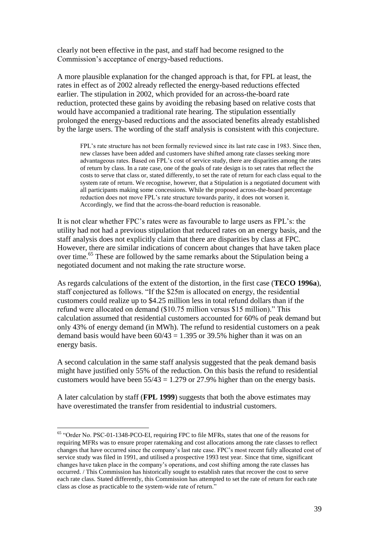clearly not been effective in the past, and staff had become resigned to the Commission"s acceptance of energy-based reductions.

A more plausible explanation for the changed approach is that, for FPL at least, the rates in effect as of 2002 already reflected the energy-based reductions effected earlier. The stipulation in 2002, which provided for an across-the-board rate reduction, protected these gains by avoiding the rebasing based on relative costs that would have accompanied a traditional rate hearing. The stipulation essentially prolonged the energy-based reductions and the associated benefits already established by the large users. The wording of the staff analysis is consistent with this conjecture.

FPL's rate structure has not been formally reviewed since its last rate case in 1983. Since then, new classes have been added and customers have shifted among rate classes seeking more advantageous rates. Based on FPL"s cost of service study, there are disparities among the rates of return by class. In a rate case, one of the goals of rate design is to set rates that reflect the costs to serve that class or, stated differently, to set the rate of return for each class equal to the system rate of return. We recognise, however, that a Stipulation is a negotiated document with all participants making some concessions. While the proposed across-the-board percentage reduction does not move FPL's rate structure towards parity, it does not worsen it. Accordingly, we find that the across-the-board reduction is reasonable.

It is not clear whether FPC"s rates were as favourable to large users as FPL"s: the utility had not had a previous stipulation that reduced rates on an energy basis, and the staff analysis does not explicitly claim that there are disparities by class at FPC. However, there are similar indications of concern about changes that have taken place over time.<sup>65</sup> These are followed by the same remarks about the Stipulation being a negotiated document and not making the rate structure worse.

As regards calculations of the extent of the distortion, in the first case (**TECO 1996a**), staff conjectured as follows. "If the \$25m is allocated on energy, the residential customers could realize up to \$4.25 million less in total refund dollars than if the refund were allocated on demand (\$10.75 million versus \$15 million)." This calculation assumed that residential customers accounted for 60% of peak demand but only 43% of energy demand (in MWh). The refund to residential customers on a peak demand basis would have been  $60/43 = 1.395$  or 39.5% higher than it was on an energy basis.

A second calculation in the same staff analysis suggested that the peak demand basis might have justified only 55% of the reduction. On this basis the refund to residential customers would have been  $55/43 = 1.279$  or 27.9% higher than on the energy basis.

A later calculation by staff (**FPL 1999**) suggests that both the above estimates may have overestimated the transfer from residential to industrial customers.

<sup>65</sup> "Order No. PSC-01-1348-PCO-EI, requiring FPC to file MFRs, states that one of the reasons for requiring MFRs was to ensure proper ratemaking and cost allocations among the rate classes to reflect changes that have occurred since the company"s last rate case. FPC"s most recent fully allocated cost of service study was filed in 1991, and utilised a prospective 1993 test year. Since that time, significant changes have taken place in the company"s operations, and cost shifting among the rate classes has occurred. / This Commission has historically sought to establish rates that recover the cost to serve each rate class. Stated differently, this Commission has attempted to set the rate of return for each rate class as close as practicable to the system-wide rate of return."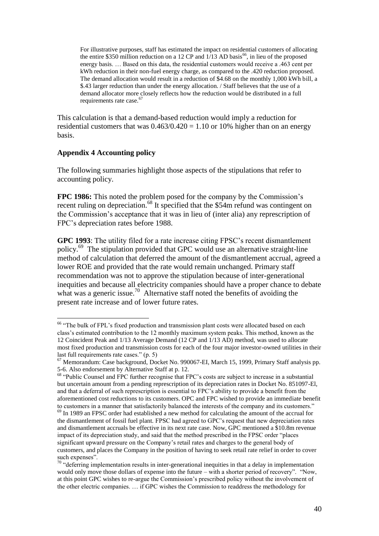For illustrative purposes, staff has estimated the impact on residential customers of allocating the entire \$350 million reduction on a 12 CP and  $1/13$  AD basis<sup>66</sup>, in lieu of the proposed energy basis. … Based on this data, the residential customers would receive a .463 cent per kWh reduction in their non-fuel energy charge, as compared to the .420 reduction proposed. The demand allocation would result in a reduction of \$4.68 on the monthly 1,000 kWh bill, a \$.43 larger reduction than under the energy allocation. / Staff believes that the use of a demand allocator more closely reflects how the reduction would be distributed in a full requirements rate case.<sup>6</sup>

This calculation is that a demand-based reduction would imply a reduction for residential customers that was  $0.463/0.420 = 1.10$  or 10% higher than on an energy basis.

#### **Appendix 4 Accounting policy**

The following summaries highlight those aspects of the stipulations that refer to accounting policy.

**FPC 1986:** This noted the problem posed for the company by the Commission's recent ruling on depreciation.<sup>68</sup> It specified that the \$54m refund was contingent on the Commission"s acceptance that it was in lieu of (inter alia) any represcription of FPC"s depreciation rates before 1988.

**GPC 1993**: The utility filed for a rate increase citing FPSC"s recent dismantlement policy.<sup>69</sup> The stipulation provided that GPC would use an alternative straight-line method of calculation that deferred the amount of the dismantlement accrual, agreed a lower ROE and provided that the rate would remain unchanged. Primary staff recommendation was not to approve the stipulation because of inter-generational inequities and because all electricity companies should have a proper chance to debate what was a generic issue.<sup>70</sup> Alternative staff noted the benefits of avoiding the present rate increase and of lower future rates.

<sup>1</sup> <sup>66</sup> "The bulk of FPL's fixed production and transmission plant costs were allocated based on each class"s estimated contribution to the 12 monthly maximum system peaks. This method, known as the 12 Coincident Peak and 1/13 Average Demand (12 CP and 1/13 AD) method, was used to allocate most fixed production and transmission costs for each of the four major investor-owned utilities in their last full requirements rate cases." (p. 5)

<sup>67</sup> Memorandum: Case background, Docket No. 990067-EI, March 15, 1999, Primary Staff analysis pp. 5-6. Also endorsement by Alternative Staff at p. 12.

<sup>&</sup>lt;sup>68</sup> "Public Counsel and FPC further recognise that FPC's costs are subject to increase in a substantial but uncertain amount from a pending represcription of its depreciation rates in Docket No. 851097-El, and that a deferral of such represcription is essential to FPC"s ability to provide a benefit from the aforementioned cost reductions to its customers. OPC and FPC wished to provide an immediate benefit to customers in a manner that satisfactorily balanced the interests of the company and its customers."

 $69$  In 1989 an FPSC order had established a new method for calculating the amount of the accrual for the dismantlement of fossil fuel plant. FPSC had agreed to GPC"s request that new depreciation rates and dismantlement accruals be effective in its next rate case. Now, GPC mentioned a \$10.8m revenue impact of its depreciation study, and said that the method prescribed in the FPSC order "places significant upward pressure on the Company"s retail rates and charges to the general body of customers, and places the Company in the position of having to seek retail rate relief in order to cover such expenses".

 $70$  "deferring implementation results in inter-generational inequities in that a delay in implementation would only move those dollars of expense into the future – with a shorter period of recovery". "Now, at this point GPC wishes to re-argue the Commission"s prescribed policy without the involvement of the other electric companies. … if GPC wishes the Commission to readdress the methodology for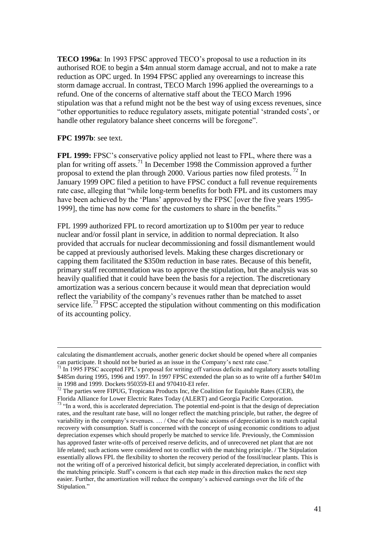**TECO 1996a**: In 1993 FPSC approved TECO"s proposal to use a reduction in its authorised ROE to begin a \$4m annual storm damage accrual, and not to make a rate reduction as OPC urged. In 1994 FPSC applied any overearnings to increase this storm damage accrual. In contrast, TECO March 1996 applied the overearnings to a refund. One of the concerns of alternative staff about the TECO March 1996 stipulation was that a refund might not be the best way of using excess revenues, since "other opportunities to reduce regulatory assets, mitigate potential "stranded costs", or handle other regulatory balance sheet concerns will be foregone".

## **FPC 1997b**: see text.

1

**FPL 1999:** FPSC"s conservative policy applied not least to FPL, where there was a plan for writing off assets.<sup>71</sup> In December 1998 the Commission approved a further proposal to extend the plan through 2000. Various parties now filed protests.  $^{72}$  In January 1999 OPC filed a petition to have FPSC conduct a full revenue requirements rate case, alleging that "while long-term benefits for both FPL and its customers may have been achieved by the 'Plans' approved by the FPSC [over the five years 1995-1999], the time has now come for the customers to share in the benefits."

FPL 1999 authorized FPL to record amortization up to \$100m per year to reduce nuclear and/or fossil plant in service, in addition to normal depreciation. It also provided that accruals for nuclear decommissioning and fossil dismantlement would be capped at previously authorised levels. Making these charges discretionary or capping them facilitated the \$350m reduction in base rates. Because of this benefit, primary staff recommendation was to approve the stipulation, but the analysis was so heavily qualified that it could have been the basis for a rejection. The discretionary amortization was a serious concern because it would mean that depreciation would reflect the variability of the company"s revenues rather than be matched to asset service life.<sup>73</sup> FPSC accepted the stipulation without commenting on this modification of its accounting policy.

calculating the dismantlement accruals, another generic docket should be opened where all companies can participate. It should not be buried as an issue in the Company"s next rate case."

 $71$  In 1995 FPSC accepted FPL's proposal for writing off various deficits and regulatory assets totalling \$485m during 1995, 1996 and 1997. In 1997 FPSC extended the plan so as to write off a further \$401m in 1998 and 1999. Dockets 950359-EI and 970410-EI refer.

 $72$  The parties were FIPUG, Tropicana Products Inc, the Coalition for Equitable Rates (CER), the Florida Alliance for Lower Electric Rates Today (ALERT) and Georgia Pacific Corporation.

 $73$  "In a word, this is accelerated depreciation. The potential end-point is that the design of depreciation rates, and the resultant rate base, will no longer reflect the matching principle, but rather, the degree of variability in the company"s revenues. … / One of the basic axioms of depreciation is to match capital recovery with consumption. Staff is concerned with the concept of using economic conditions to adjust depreciation expenses which should properly be matched to service life. Previously, the Commission has approved faster write-offs of perceived reserve deficits, and of unrecovered net plant that are not life related; such actions were considered not to conflict with the matching principle. / The Stipulation essentially allows FPL the flexibility to shorten the recovery period of the fossil/nuclear plants. This is not the writing off of a perceived historical deficit, but simply accelerated depreciation, in conflict with the matching principle. Staff"s concern is that each step made in this direction makes the next step easier. Further, the amortization will reduce the company"s achieved earnings over the life of the Stipulation."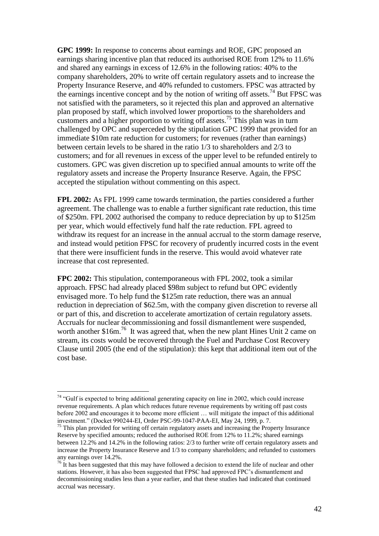**GPC 1999:** In response to concerns about earnings and ROE, GPC proposed an earnings sharing incentive plan that reduced its authorised ROE from 12% to 11.6% and shared any earnings in excess of 12.6% in the following ratios: 40% to the company shareholders, 20% to write off certain regulatory assets and to increase the Property Insurance Reserve, and 40% refunded to customers. FPSC was attracted by the earnings incentive concept and by the notion of writing off assets.<sup>74</sup> But FPSC was not satisfied with the parameters, so it rejected this plan and approved an alternative plan proposed by staff, which involved lower proportions to the shareholders and customers and a higher proportion to writing off assets.<sup>75</sup> This plan was in turn challenged by OPC and superceded by the stipulation GPC 1999 that provided for an immediate \$10m rate reduction for customers; for revenues (rather than earnings) between certain levels to be shared in the ratio 1/3 to shareholders and 2/3 to customers; and for all revenues in excess of the upper level to be refunded entirely to customers. GPC was given discretion up to specified annual amounts to write off the regulatory assets and increase the Property Insurance Reserve. Again, the FPSC accepted the stipulation without commenting on this aspect.

**FPL 2002:** As FPL 1999 came towards termination, the parties considered a further agreement. The challenge was to enable a further significant rate reduction, this time of \$250m. FPL 2002 authorised the company to reduce depreciation by up to \$125m per year, which would effectively fund half the rate reduction. FPL agreed to withdraw its request for an increase in the annual accrual to the storm damage reserve, and instead would petition FPSC for recovery of prudently incurred costs in the event that there were insufficient funds in the reserve. This would avoid whatever rate increase that cost represented.

**FPC 2002:** This stipulation, contemporaneous with FPL 2002, took a similar approach. FPSC had already placed \$98m subject to refund but OPC evidently envisaged more. To help fund the \$125m rate reduction, there was an annual reduction in depreciation of \$62.5m, with the company given discretion to reverse all or part of this, and discretion to accelerate amortization of certain regulatory assets. Accruals for nuclear decommissioning and fossil dismantlement were suspended, worth another \$16m.<sup>76</sup> It was agreed that, when the new plant Hines Unit 2 came on stream, its costs would be recovered through the Fuel and Purchase Cost Recovery Clause until 2005 (the end of the stipulation): this kept that additional item out of the cost base.

<sup>&</sup>lt;sup>74</sup> "Gulf is expected to bring additional generating capacity on line in 2002, which could increase revenue requirements. A plan which reduces future revenue requirements by writing off past costs before 2002 and encourages it to become more efficient … will mitigate the impact of this additional investment." (Docket 990244-EI, Order PSC-99-1047-PAA-EI, May 24, 1999, p. 7.

 $75$  This plan provided for writing off certain regulatory assets and increasing the Property Insurance Reserve by specified amounts; reduced the authorised ROE from 12% to 11.2%; shared earnings between 12.2% and 14.2% in the following ratios: 2/3 to further write off certain regulatory assets and increase the Property Insurance Reserve and 1/3 to company shareholders; and refunded to customers any earnings over 14.2%.

<sup>&</sup>lt;sup>76</sup> It has been suggested that this may have followed a decision to extend the life of nuclear and other stations. However, it has also been suggested that FPSC had approved FPC"s dismantlement and decommissioning studies less than a year earlier, and that these studies had indicated that continued accrual was necessary.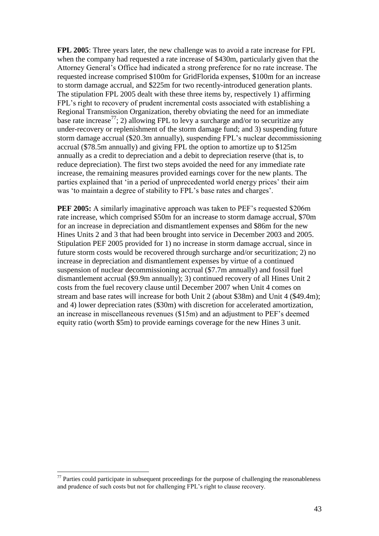**FPL 2005**: Three years later, the new challenge was to avoid a rate increase for FPL when the company had requested a rate increase of \$430m, particularly given that the Attorney General"s Office had indicated a strong preference for no rate increase. The requested increase comprised \$100m for GridFlorida expenses, \$100m for an increase to storm damage accrual, and \$225m for two recently-introduced generation plants. The stipulation FPL 2005 dealt with these three items by, respectively 1) affirming FPL"s right to recovery of prudent incremental costs associated with establishing a Regional Transmission Organization, thereby obviating the need for an immediate base rate increase<sup>77</sup>; 2) allowing FPL to levy a surcharge and/or to securitize any under-recovery or replenishment of the storm damage fund; and 3) suspending future storm damage accrual (\$20.3m annually), suspending FPL"s nuclear decommissioning accrual (\$78.5m annually) and giving FPL the option to amortize up to \$125m annually as a credit to depreciation and a debit to depreciation reserve (that is, to reduce depreciation). The first two steps avoided the need for any immediate rate increase, the remaining measures provided earnings cover for the new plants. The parties explained that 'in a period of unprecedented world energy prices' their aim was 'to maintain a degree of stability to FPL's base rates and charges'.

**PEF 2005:** A similarly imaginative approach was taken to PEF's requested \$206m rate increase, which comprised \$50m for an increase to storm damage accrual, \$70m for an increase in depreciation and dismantlement expenses and \$86m for the new Hines Units 2 and 3 that had been brought into service in December 2003 and 2005. Stipulation PEF 2005 provided for 1) no increase in storm damage accrual, since in future storm costs would be recovered through surcharge and/or securitization; 2) no increase in depreciation and dismantlement expenses by virtue of a continued suspension of nuclear decommissioning accrual (\$7.7m annually) and fossil fuel dismantlement accrual (\$9.9m annually); 3) continued recovery of all Hines Unit 2 costs from the fuel recovery clause until December 2007 when Unit 4 comes on stream and base rates will increase for both Unit 2 (about \$38m) and Unit 4 (\$49.4m); and 4) lower depreciation rates (\$30m) with discretion for accelerated amortization, an increase in miscellaneous revenues (\$15m) and an adjustment to PEF"s deemed equity ratio (worth \$5m) to provide earnings coverage for the new Hines 3 unit.

 $<sup>77</sup>$  Parties could participate in subsequent proceedings for the purpose of challenging the reasonableness</sup> and prudence of such costs but not for challenging FPL"s right to clause recovery.